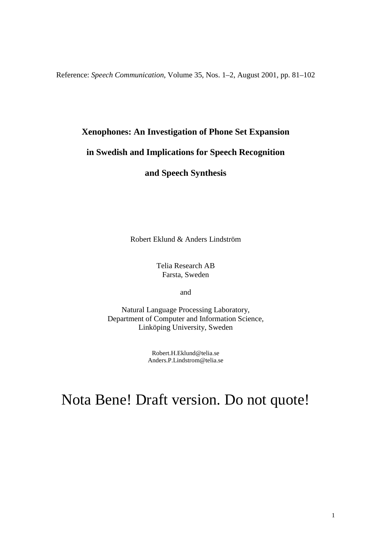Reference: *Speech Communication*, Volume 35, Nos. 1–2, August 2001, pp. 81–102

# **Xenophones: An Investigation of Phone Set Expansion**

# **in Swedish and Implications for Speech Recognition**

**and Speech Synthesis**

Robert Eklund & Anders Lindström

Telia Research AB Farsta, Sweden

and

Natural Language Processing Laboratory, Department of Computer and Information Science, Linköping University, Sweden

> Robert.H.Eklund@telia.se Anders.P.Lindstrom@telia.se

# Nota Bene! Draft version. Do not quote!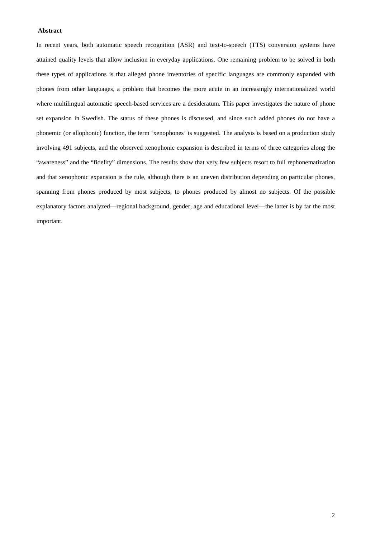# **Abstract**

In recent years, both automatic speech recognition (ASR) and text-to-speech (TTS) conversion systems have attained quality levels that allow inclusion in everyday applications. One remaining problem to be solved in both these types of applications is that alleged phone inventories of specific languages are commonly expanded with phones from other languages, a problem that becomes the more acute in an increasingly internationalized world where multilingual automatic speech-based services are a desideratum. This paper investigates the nature of phone set expansion in Swedish. The status of these phones is discussed, and since such added phones do not have a phonemic (or allophonic) function, the term 'xenophones' is suggested. The analysis is based on a production study involving 491 subjects, and the observed xenophonic expansion is described in terms of three categories along the "awareness" and the "fidelity" dimensions. The results show that very few subjects resort to full rephonematization and that xenophonic expansion is the rule, although there is an uneven distribution depending on particular phones, spanning from phones produced by most subjects, to phones produced by almost no subjects. Of the possible explanatory factors analyzed—regional background, gender, age and educational level—the latter is by far the most important.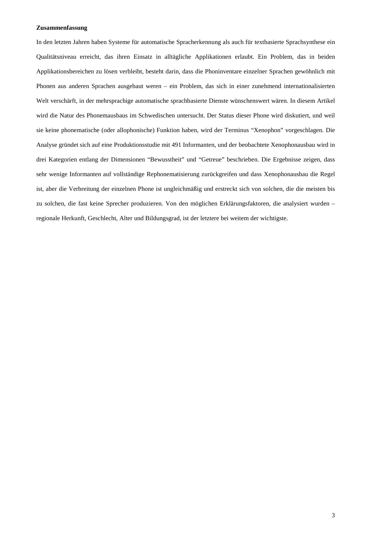# **Zusammenfassung**

In den letzten Jahren haben Systeme für automatische Spracherkennung als auch für textbasierte Sprachsynthese ein Qualitätsniveau erreicht, das ihren Einsatz in alltägliche Applikationen erlaubt. Ein Problem, das in beiden Applikationsbereichen zu lösen verbleibt, besteht darin, dass die Phoninventare einzelner Sprachen gewöhnlich mit Phonen aus anderen Sprachen ausgebaut weren – ein Problem, das sich in einer zunehmend internationalisierten Welt verschärft, in der mehrsprachige automatische sprachbasierte Dienste wünschenswert wären. In diesem Artikel wird die Natur des Phonemausbaus im Schwedischen untersucht. Der Status dieser Phone wird diskutiert, und weil sie keine phonematische (oder allophonische) Funktion haben, wird der Terminus "Xenophon" vorgeschlagen. Die Analyse gründet sich auf eine Produktionsstudie mit 491 Informanten, und der beobachtete Xenophonausbau wird in drei Kategorien entlang der Dimensionen "Bewusstheit" und "Getreue" beschrieben. Die Ergebnisse zeigen, dass sehr wenige Informanten auf vollständige Rephonematisierung zurückgreifen und dass Xenophonausbau die Regel ist, aber die Verbreitung der einzelnen Phone ist ungleichmäßig und erstreckt sich von solchen, die die meisten bis zu solchen, die fast keine Sprecher produzieren. Von den möglichen Erklärungsfaktoren, die analysiert wurden – regionale Herkunft, Geschlecht, Alter und Bildungsgrad, ist der letztere bei weitem der wichtigste.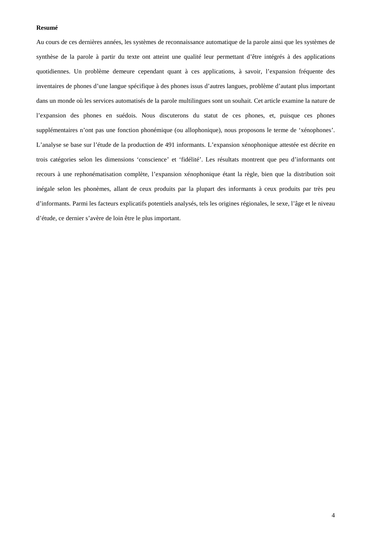# **Resumé**

Au cours de ces dernières années, les systèmes de reconnaissance automatique de la parole ainsi que les systèmes de synthèse de la parole à partir du texte ont atteint une qualité leur permettant d'être intégrés à des applications quotidiennes. Un problème demeure cependant quant à ces applications, à savoir, l'expansion fréquente des inventaires de phones d'une langue spécifique à des phones issus d'autres langues, problème d'autant plus important dans un monde où les services automatisés de la parole multilingues sont un souhait. Cet article examine la nature de l'expansion des phones en suédois. Nous discuterons du statut de ces phones, et, puisque ces phones supplémentaires n'ont pas une fonction phonémique (ou allophonique), nous proposons le terme de 'xénophones'. L'analyse se base sur l'étude de la production de 491 informants. L'expansion xénophonique attestée est décrite en trois catégories selon les dimensions 'conscience' et 'fidélité'. Les résultats montrent que peu d'informants ont recours à une rephonématisation complète, l'expansion xénophonique étant la règle, bien que la distribution soit inégale selon les phonèmes, allant de ceux produits par la plupart des informants à ceux produits par très peu d'informants. Parmi les facteurs explicatifs potentiels analysés, tels les origines régionales, le sexe, l'âge et le niveau d'étude, ce dernier s'avère de loin être le plus important.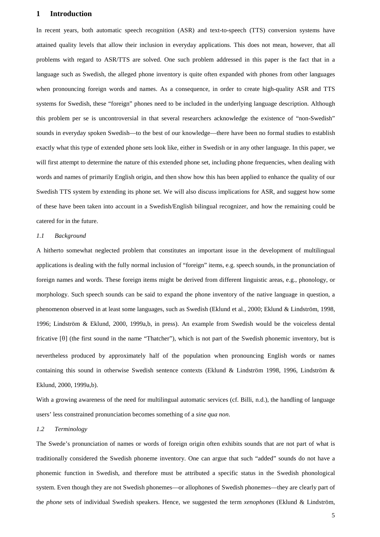# **1 Introduction**

In recent years, both automatic speech recognition (ASR) and text-to-speech (TTS) conversion systems have attained quality levels that allow their inclusion in everyday applications. This does not mean, however, that all problems with regard to ASR/TTS are solved. One such problem addressed in this paper is the fact that in a language such as Swedish, the alleged phone inventory is quite often expanded with phones from other languages when pronouncing foreign words and names. As a consequence, in order to create high-quality ASR and TTS systems for Swedish, these "foreign" phones need to be included in the underlying language description. Although this problem per se is uncontroversial in that several researchers acknowledge the existence of "non-Swedish" sounds in everyday spoken Swedish—to the best of our knowledge—there have been no formal studies to establish exactly what this type of extended phone sets look like, either in Swedish or in any other language. In this paper, we will first attempt to determine the nature of this extended phone set, including phone frequencies, when dealing with words and names of primarily English origin, and then show how this has been applied to enhance the quality of our Swedish TTS system by extending its phone set. We will also discuss implications for ASR, and suggest how some of these have been taken into account in a Swedish/English bilingual recognizer, and how the remaining could be catered for in the future.

# *1.1 Background*

A hitherto somewhat neglected problem that constitutes an important issue in the development of multilingual applications is dealing with the fully normal inclusion of "foreign" items, e.g. speech sounds, in the pronunciation of foreign names and words. These foreign items might be derived from different linguistic areas, e.g., phonology, or morphology. Such speech sounds can be said to expand the phone inventory of the native language in question, a phenomenon observed in at least some languages, such as Swedish (Eklund et al., 2000; Eklund & Lindström, 1998, 1996; Lindström & Eklund, 2000, 1999a,b, in press). An example from Swedish would be the voiceless dental fricative  $[0]$  (the first sound in the name "Thatcher"), which is not part of the Swedish phonemic inventory, but is nevertheless produced by approximately half of the population when pronouncing English words or names containing this sound in otherwise Swedish sentence contexts (Eklund & Lindström 1998, 1996, Lindström & Eklund, 2000, 1999a,b).

With a growing awareness of the need for multilingual automatic services (cf. Billi, n.d.), the handling of language users' less constrained pronunciation becomes something of a *sine qua non*.

# *1.2 Terminology*

The Swede's pronunciation of names or words of foreign origin often exhibits sounds that are not part of what is traditionally considered the Swedish phoneme inventory. One can argue that such "added" sounds do not have a phonemic function in Swedish, and therefore must be attributed a specific status in the Swedish phonological system. Even though they are not Swedish phonemes—or allophones of Swedish phonemes—they are clearly part of the *phone* sets of individual Swedish speakers. Hence, we suggested the term *xenophones* (Eklund & Lindström,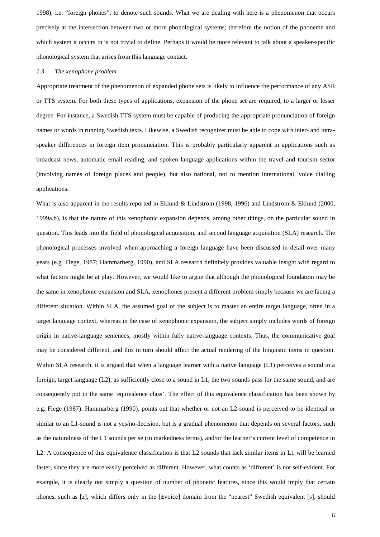1998), i.e. "foreign phones", to denote such sounds. What we are dealing with here is a phenomenon that occurs precisely at the intersection between two or more phonological systems; therefore the notion of the phoneme and which system it occurs in is not trivial to define. Perhaps it would be more relevant to talk about a speaker-specific phonological system that arises from this language contact.

#### *1.3 The xenophone problem*

Appropriate treatment of the phenomenon of expanded phone sets is likely to influence the performance of any ASR or TTS system. For both these types of applications, expansion of the phone set are required, to a larger or lesser degree. For instance, a Swedish TTS system must be capable of producing the appropriate pronunciation of foreign names or words in running Swedish texts. Likewise, a Swedish recognizer must be able to cope with inter- and intraspeaker differences in foreign item pronunciation. This is probably particularly apparent in applications such as broadcast news, automatic email reading, and spoken language applications within the travel and tourism sector (involving names of foreign places and people), but also national, not to mention international, voice dialling applications.

What is also apparent in the results reported in Eklund & Lindström (1998, 1996) and Lindström & Eklund (2000, 1999a,b), is that the nature of this xenophonic expansion depends, among other things, on the particular sound in question. This leads into the field of phonological acquisition, and second language acquisition (SLA) research. The phonological processes involved when approaching a foreign language have been discussed in detail over many years (e.g. Flege, 1987; Hammarberg, 1990), and SLA research definitely provides valuable insight with regard to what factors might be at play. However, we would like to argue that although the phonological foundation may be the same in xenophonic expansion and SLA, xenophones present a different problem simply because we are facing a different situation. Within SLA, the assumed goal of the subject is to master an entire target language, often in a target language context, whereas in the case of xenophonic expansion, the subject simply includes words of foreign origin in native-language sentences, mostly within fully native-language contexts. Thus, the communicative goal may be considered different, and this in turn should affect the actual rendering of the linguistic items in question. Within SLA research, it is argued that when a language learner with a native language (L1) perceives a sound in a foreign, target language (L2), as sufficiently close to a sound in L1, the two sounds pass for the same sound, and are consequently put in the same 'equivalence class'. The effect of this equivalence classification has been shown by e.g. Flege (1987). Hammarberg (1990), points out that whether or not an L2-sound is perceived to be identical or similar to an L1-sound is not a yes/no-decision, but is a gradual phenomenon that depends on several factors, such as the naturalness of the L1 sounds per se (in markedness terms), and/or the learner's current level of competence in L2. A consequence of this equivalence classification is that L2 sounds that lack similar items in L1 will be learned faster, since they are more easily perceived as different. However, what counts as 'different' is not self-evident. For example, it is clearly not simply a question of number of phonetic features, since this would imply that certain phones, such as [z], which differs only in the [±voice] domain from the "nearest" Swedish equivalent [s], should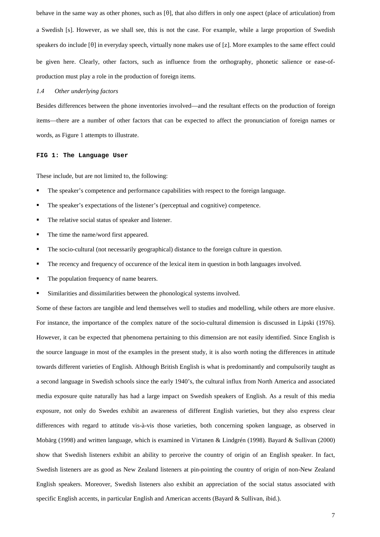behave in the same way as other phones, such as  $[0]$ , that also differs in only one aspect (place of articulation) from a Swedish [s]. However, as we shall see, this is not the case. For example, while a large proportion of Swedish speakers do include  $[\theta]$  in everyday speech, virtually none makes use of [z]. More examples to the same effect could be given here. Clearly, other factors, such as influence from the orthography, phonetic salience or ease-ofproduction must play a role in the production of foreign items.

#### *1.4 Other underlying factors*

Besides differences between the phone inventories involved—and the resultant effects on the production of foreign items—there are a number of other factors that can be expected to affect the pronunciation of foreign names or words, as Figure 1 attempts to illustrate.

#### **FIG 1: The Language User**

These include, but are not limited to, the following:

- The speaker's competence and performance capabilities with respect to the foreign language.
- The speaker's expectations of the listener's (perceptual and cognitive) competence.
- The relative social status of speaker and listener.
- The time the name/word first appeared.
- The socio-cultural (not necessarily geographical) distance to the foreign culture in question.
- The recency and frequency of occurence of the lexical item in question in both languages involved.
- The population frequency of name bearers.
- Similarities and dissimilarities between the phonological systems involved.

Some of these factors are tangible and lend themselves well to studies and modelling, while others are more elusive. For instance, the importance of the complex nature of the socio-cultural dimension is discussed in Lipski (1976). However, it can be expected that phenomena pertaining to this dimension are not easily identified. Since English is the source language in most of the examples in the present study, it is also worth noting the differences in attitude towards different varieties of English. Although British English is what is predominantly and compulsorily taught as a second language in Swedish schools since the early 1940's, the cultural influx from North America and associated media exposure quite naturally has had a large impact on Swedish speakers of English. As a result of this media exposure, not only do Swedes exhibit an awareness of different English varieties, but they also express clear differences with regard to attitude vis-à-vis those varieties, both concerning spoken language, as observed in Mobärg (1998) and written language, which is examined in Virtanen & Lindgrén (1998). Bayard & Sullivan (2000) show that Swedish listeners exhibit an ability to perceive the country of origin of an English speaker. In fact, Swedish listeners are as good as New Zealand listeners at pin-pointing the country of origin of non-New Zealand English speakers. Moreover, Swedish listeners also exhibit an appreciation of the social status associated with specific English accents, in particular English and American accents (Bayard & Sullivan, ibid.).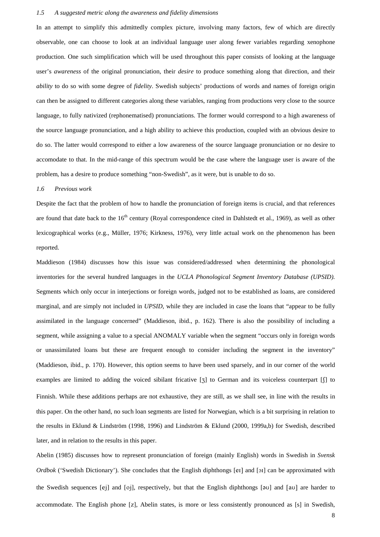# *1.5 A suggested metric along the awareness and fidelity dimensions*

In an attempt to simplify this admittedly complex picture, involving many factors, few of which are directly observable, one can choose to look at an individual language user along fewer variables regarding xenophone production. One such simplification which will be used throughout this paper consists of looking at the language user's *awareness* of the original pronunciation, their *desire* to produce something along that direction, and their *ability* to do so with some degree of *fidelity*. Swedish subjects' productions of words and names of foreign origin can then be assigned to different categories along these variables, ranging from productions very close to the source language, to fully nativized (rephonematised) pronunciations. The former would correspond to a high awareness of the source language pronunciation, and a high ability to achieve this production, coupled with an obvious desire to do so. The latter would correspond to either a low awareness of the source language pronunciation or no desire to accomodate to that. In the mid-range of this spectrum would be the case where the language user is aware of the problem, has a desire to produce something "non-Swedish", as it were, but is unable to do so.

#### *1.6 Previous work*

Despite the fact that the problem of how to handle the pronunciation of foreign items is crucial, and that references are found that date back to the 16<sup>th</sup> century (Royal correspondence cited in Dahlstedt et al., 1969), as well as other lexicographical works (e.g., Müller, 1976; Kirkness, 1976), very little actual work on the phenomenon has been reported.

Maddieson (1984) discusses how this issue was considered/addressed when determining the phonological inventories for the several hundred languages in the *UCLA Phonological Segment Inventory Database (UPSID).* Segments which only occur in interjections or foreign words, judged not to be established as loans, are considered marginal, and are simply not included in *UPSID*, while they are included in case the loans that "appear to be fully assimilated in the language concerned" (Maddieson, ibid., p. 162). There is also the possibility of including a segment, while assigning a value to a special ANOMALY variable when the segment "occurs only in foreign words or unassimilated loans but these are frequent enough to consider including the segment in the inventory" (Maddieson, ibid., p. 170). However, this option seems to have been used sparsely, and in our corner of the world examples are limited to adding the voiced sibilant fricative [3] to German and its voiceless counterpart [f] to Finnish. While these additions perhaps are not exhaustive, they are still, as we shall see, in line with the results in this paper. On the other hand, no such loan segments are listed for Norwegian, which is a bit surprising in relation to the results in Eklund & Lindström (1998, 1996) and Lindström & Eklund (2000, 1999a,b) for Swedish, described later, and in relation to the results in this paper.

Abelin (1985) discusses how to represent pronunciation of foreign (mainly English) words in Swedish in *Svensk Ordbok* ('Swedish Dictionary'). She concludes that the English diphthongs [er] and [or] can be approximated with the Swedish sequences [ej] and [oj], respectively, but that the English diphthongs [ $\sigma$ U] and  $\sigma$  are harder to accommodate. The English phone [z], Abelin states, is more or less consistently pronounced as [s] in Swedish,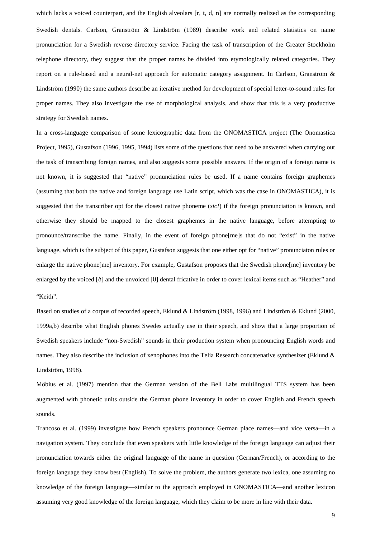which lacks a voiced counterpart, and the English alveolars  $[r, t, d, n]$  are normally realized as the corresponding Swedish dentals. Carlson, Granström & Lindström (1989) describe work and related statistics on name pronunciation for a Swedish reverse directory service. Facing the task of transcription of the Greater Stockholm telephone directory, they suggest that the proper names be divided into etymologically related categories. They report on a rule-based and a neural-net approach for automatic category assignment. In Carlson, Granström & Lindström (1990) the same authors describe an iterative method for development of special letter-to-sound rules for proper names. They also investigate the use of morphological analysis, and show that this is a very productive strategy for Swedish names.

In a cross-language comparison of some lexicographic data from the ONOMASTICA project (The Onomastica Project, 1995), Gustafson (1996, 1995, 1994) lists some of the questions that need to be answered when carrying out the task of transcribing foreign names, and also suggests some possible answers. If the origin of a foreign name is not known, it is suggested that "native" pronunciation rules be used. If a name contains foreign graphemes (assuming that both the native and foreign language use Latin script, which was the case in ONOMASTICA), it is suggested that the transcriber opt for the closest native phoneme (*sic!*) if the foreign pronunciation is known, and otherwise they should be mapped to the closest graphemes in the native language, before attempting to pronounce/transcribe the name. Finally, in the event of foreign phone[me]s that do not "exist" in the native language, which is the subject of this paper, Gustafson suggests that one either opt for "native" pronunciaton rules or enlarge the native phone[me] inventory. For example, Gustafson proposes that the Swedish phone[me] inventory be enlarged by the voiced  $\delta$  and the unvoiced  $\delta$  dental fricative in order to cover lexical items such as "Heather" and "Keith".

Based on studies of a corpus of recorded speech, Eklund & Lindström (1998, 1996) and Lindström & Eklund (2000, 1999a,b) describe what English phones Swedes actually use in their speech, and show that a large proportion of Swedish speakers include "non-Swedish" sounds in their production system when pronouncing English words and names. They also describe the inclusion of xenophones into the Telia Research concatenative synthesizer (Eklund & Lindström, 1998).

Möbius et al. (1997) mention that the German version of the Bell Labs multilingual TTS system has been augmented with phonetic units outside the German phone inventory in order to cover English and French speech sounds.

Trancoso et al*.* (1999) investigate how French speakers pronounce German place names—and vice versa—in a navigation system. They conclude that even speakers with little knowledge of the foreign language can adjust their pronunciation towards either the original language of the name in question (German/French), or according to the foreign language they know best (English). To solve the problem, the authors generate two lexica, one assuming no knowledge of the foreign language—similar to the approach employed in ONOMASTICA—and another lexicon assuming very good knowledge of the foreign language, which they claim to be more in line with their data.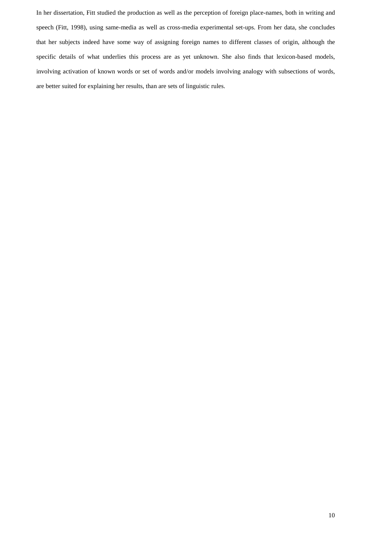In her dissertation, Fitt studied the production as well as the perception of foreign place-names, both in writing and speech (Fitt, 1998), using same-media as well as cross-media experimental set-ups. From her data, she concludes that her subjects indeed have some way of assigning foreign names to different classes of origin, although the specific details of what underlies this process are as yet unknown. She also finds that lexicon-based models, involving activation of known words or set of words and/or models involving analogy with subsections of words, are better suited for explaining her results, than are sets of linguistic rules.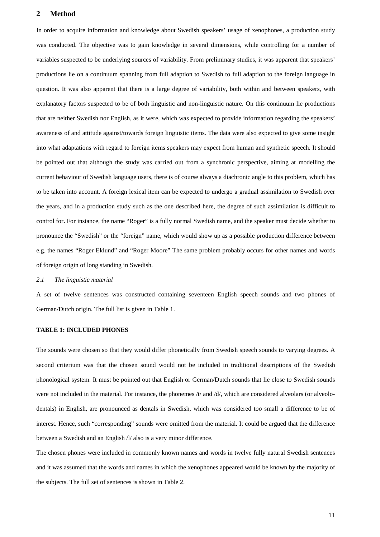# **2 Method**

In order to acquire information and knowledge about Swedish speakers' usage of xenophones, a production study was conducted. The objective was to gain knowledge in several dimensions, while controlling for a number of variables suspected to be underlying sources of variability. From preliminary studies, it was apparent that speakers' productions lie on a continuum spanning from full adaption to Swedish to full adaption to the foreign language in question. It was also apparent that there is a large degree of variability, both within and between speakers, with explanatory factors suspected to be of both linguistic and non-linguistic nature. On this continuum lie productions that are neither Swedish nor English, as it were, which was expected to provide information regarding the speakers' awareness of and attitude against/towards foreign linguistic items. The data were also expected to give some insight into what adaptations with regard to foreign items speakers may expect from human and synthetic speech. It should be pointed out that although the study was carried out from a synchronic perspective, aiming at modelling the current behaviour of Swedish language users, there is of course always a diachronic angle to this problem, which has to be taken into account. A foreign lexical item can be expected to undergo a gradual assimilation to Swedish over the years, and in a production study such as the one described here, the degree of such assimilation is difficult to control for**.** For instance, the name "Roger" is a fully normal Swedish name, and the speaker must decide whether to pronounce the "Swedish" or the "foreign" name, which would show up as a possible production difference between e.g. the names "Roger Eklund" and "Roger Moore" The same problem probably occurs for other names and words of foreign origin of long standing in Swedish.

# *2.1 The linguistic material*

A set of twelve sentences was constructed containing seventeen English speech sounds and two phones of German/Dutch origin. The full list is given in Table 1.

# **TABLE 1: INCLUDED PHONES**

The sounds were chosen so that they would differ phonetically from Swedish speech sounds to varying degrees. A second criterium was that the chosen sound would not be included in traditional descriptions of the Swedish phonological system. It must be pointed out that English or German/Dutch sounds that lie close to Swedish sounds were not included in the material. For instance, the phonemes /t/ and /d/, which are considered alveolars (or alveolodentals) in English, are pronounced as dentals in Swedish, which was considered too small a difference to be of interest. Hence, such "corresponding" sounds were omitted from the material. It could be argued that the difference between a Swedish and an English /l/ also is a very minor difference.

The chosen phones were included in commonly known names and words in twelve fully natural Swedish sentences and it was assumed that the words and names in which the xenophones appeared would be known by the majority of the subjects. The full set of sentences is shown in Table 2.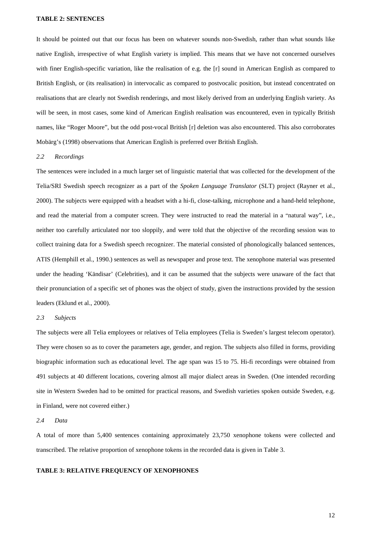# **TABLE 2: SENTENCES**

It should be pointed out that our focus has been on whatever sounds non-Swedish, rather than what sounds like native English, irrespective of what English variety is implied. This means that we have not concerned ourselves with finer English-specific variation, like the realisation of e.g. the [r] sound in American English as compared to British English, or (its realisation) in intervocalic as compared to postvocalic position, but instead concentrated on realisations that are clearly not Swedish renderings, and most likely derived from an underlying English variety. As will be seen, in most cases, some kind of American English realisation was encountered, even in typically British names, like "Roger Moore", but the odd post-vocal British [r] deletion was also encountered. This also corroborates Mobärg's (1998) observations that American English is preferred over British English.

#### *2.2 Recordings*

The sentences were included in a much larger set of linguistic material that was collected for the development of the Telia/SRI Swedish speech recognizer as a part of the *Spoken Language Translator* (SLT) project (Rayner et al., 2000). The subjects were equipped with a headset with a hi-fi, close-talking, microphone and a hand-held telephone, and read the material from a computer screen. They were instructed to read the material in a "natural way", i.e., neither too carefully articulated nor too sloppily, and were told that the objective of the recording session was to collect training data for a Swedish speech recognizer. The material consisted of phonologically balanced sentences, ATIS (Hemphill et al., 1990*.*) sentences as well as newspaper and prose text. The xenophone material was presented under the heading 'Kändisar' (Celebrities), and it can be assumed that the subjects were unaware of the fact that their pronunciation of a specific set of phones was the object of study, given the instructions provided by the session leaders (Eklund et al., 2000).

#### *2.3 Subjects*

The subjects were all Telia employees or relatives of Telia employees (Telia is Sweden's largest telecom operator). They were chosen so as to cover the parameters age, gender, and region. The subjects also filled in forms, providing biographic information such as educational level. The age span was 15 to 75. Hi-fi recordings were obtained from 491 subjects at 40 different locations, covering almost all major dialect areas in Sweden. (One intended recording site in Western Sweden had to be omitted for practical reasons, and Swedish varieties spoken outside Sweden, e.g. in Finland, were not covered either.)

#### *2.4 Data*

A total of more than 5,400 sentences containing approximately 23,750 xenophone tokens were collected and transcribed. The relative proportion of xenophone tokens in the recorded data is given in Table 3.

# **TABLE 3: RELATIVE FREQUENCY OF XENOPHONES**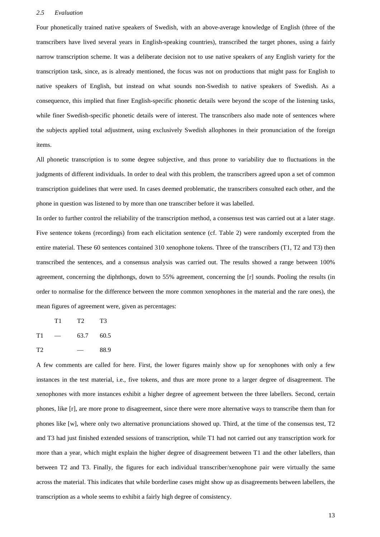#### *2.5 Evaluation*

Four phonetically trained native speakers of Swedish, with an above-average knowledge of English (three of the transcribers have lived several years in English-speaking countries), transcribed the target phones, using a fairly narrow transcription scheme. It was a deliberate decision not to use native speakers of any English variety for the transcription task, since, as is already mentioned, the focus was not on productions that might pass for English to native speakers of English, but instead on what sounds non-Swedish to native speakers of Swedish. As a consequence, this implied that finer English-specific phonetic details were beyond the scope of the listening tasks, while finer Swedish-specific phonetic details were of interest. The transcribers also made note of sentences where the subjects applied total adjustment, using exclusively Swedish allophones in their pronunciation of the foreign items.

All phonetic transcription is to some degree subjective, and thus prone to variability due to fluctuations in the judgments of different individuals. In order to deal with this problem, the transcribers agreed upon a set of common transcription guidelines that were used. In cases deemed problematic, the transcribers consulted each other, and the phone in question was listened to by more than one transcriber before it was labelled.

In order to further control the reliability of the transcription method, a consensus test was carried out at a later stage. Five sentence tokens (recordings) from each elicitation sentence (cf. Table 2) were randomly excerpted from the entire material. These 60 sentences contained 310 xenophone tokens. Three of the transcribers (T1, T2 and T3) then transcribed the sentences, and a consensus analysis was carried out. The results showed a range between 100% agreement, concerning the diphthongs, down to 55% agreement, concerning the [r] sounds. Pooling the results (in order to normalise for the difference between the more common xenophones in the material and the rare ones), the mean figures of agreement were, given as percentages:

T1 T2 T3  $T1 - 63.7 60.5$  $T2 - 88.9$ 

A few comments are called for here. First, the lower figures mainly show up for xenophones with only a few instances in the test material, i.e., five tokens, and thus are more prone to a larger degree of disagreement. The xenophones with more instances exhibit a higher degree of agreement between the three labellers. Second, certain phones, like [r], are more prone to disagreement, since there were more alternative ways to transcribe them than for phones like [w], where only two alternative pronunciations showed up. Third, at the time of the consensus test, T2 and T3 had just finished extended sessions of transcription, while T1 had not carried out any transcription work for more than a year, which might explain the higher degree of disagreement between T1 and the other labellers, than between T2 and T3. Finally, the figures for each individual transcriber/xenophone pair were virtually the same across the material. This indicates that while borderline cases might show up as disagreements between labellers, the transcription as a whole seems to exhibit a fairly high degree of consistency.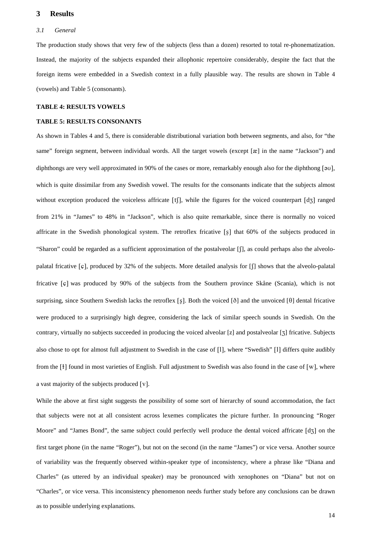# **3 Results**

#### *3.1 General*

The production study shows that very few of the subjects (less than a dozen) resorted to total re-phonematization. Instead, the majority of the subjects expanded their allophonic repertoire considerably, despite the fact that the foreign items were embedded in a Swedish context in a fully plausible way. The results are shown in Table 4 (vowels) and Table 5 (consonants).

# **TABLE 4: RESULTS VOWELS**

# **TABLE 5: RESULTS CONSONANTS**

As shown in Tables 4 and 5, there is considerable distributional variation both between segments, and also, for "the same" foreign segment, between individual words. All the target vowels (except [æ] in the name "Jackson") and diphthongs are very well approximated in 90% of the cases or more, remarkably enough also for the diphthong  $\lceil 30 \rceil$ , which is quite dissimilar from any Swedish vowel. The results for the consonants indicate that the subjects almost without exception produced the voiceless affricate  $[f]$ , while the figures for the voiced counterpart  $\lceil d\tau \rceil$  ranged from 21% in "James" to 48% in "Jackson"*,* which is also quite remarkable, since there is normally no voiced affricate in the Swedish phonological system. The retroflex fricative  $[s]$  that 60% of the subjects produced in "Sharon" could be regarded as a sufficient approximation of the postalveolar [6], as could perhaps also the alveolopalatal fricative  $\lceil \varphi \rceil$ , produced by 32% of the subjects. More detailed analysis for  $\lceil \int \rceil$  shows that the alveolo-palatal fricative [c] was produced by 90% of the subjects from the Southern province Skåne (Scania), which is not surprising, since Southern Swedish lacks the retroflex [s]. Both the voiced [ $\delta$ ] and the unvoiced [ $\theta$ ] dental fricative were produced to a surprisingly high degree, considering the lack of similar speech sounds in Swedish. On the contrary, virtually no subjects succeeded in producing the voiced alveolar [z] and postalveolar [3] fricative. Subjects also chose to opt for almost full adjustment to Swedish in the case of  $[1]$ , where "Swedish"  $[1]$  differs quite audibly from the  $\lceil \cdot \rceil$  found in most varieties of English. Full adjustment to Swedish was also found in the case of  $\lceil w \rceil$ , where a vast majority of the subjects produced  $[v]$ .

While the above at first sight suggests the possibility of some sort of hierarchy of sound accommodation, the fact that subjects were not at all consistent across lexemes complicates the picture further. In pronouncing "Roger Moore" and "James Bond", the same subject could perfectly well produce the dental voiced affricate  $\lceil d_3 \rceil$  on the first target phone (in the name "Roger"), but not on the second (in the name "James") or vice versa. Another source of variability was the frequently observed within-speaker type of inconsistency, where a phrase like "Diana and Charles" (as uttered by an individual speaker) may be pronounced with xenophones on "Diana" but not on "Charles", or vice versa. This inconsistency phenomenon needs further study before any conclusions can be drawn as to possible underlying explanations.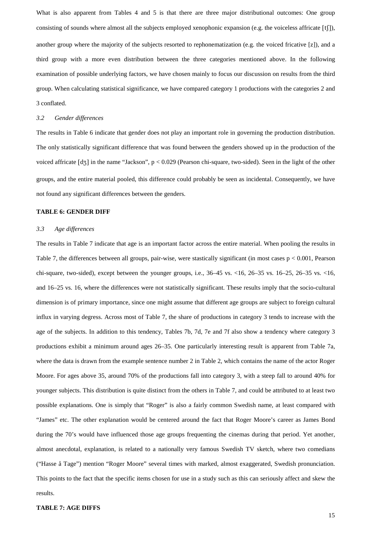What is also apparent from Tables 4 and 5 is that there are three major distributional outcomes: One group consisting of sounds where almost all the subjects employed xenophonic expansion (e.g. the voiceless affricate  $[f$  $])$ , another group where the majority of the subjects resorted to rephonematization (e.g. the voiced fricative [z]), and a third group with a more even distribution between the three categories mentioned above. In the following examination of possible underlying factors, we have chosen mainly to focus our discussion on results from the third group. When calculating statistical significance, we have compared category 1 productions with the categories 2 and 3 conflated.

# *3.2 Gender differences*

The results in Table 6 indicate that gender does not play an important role in governing the production distribution. The only statistically significant difference that was found between the genders showed up in the production of the voiced affricate  $[d_3]$  in the name "Jackson", p < 0.029 (Pearson chi-square, two-sided). Seen in the light of the other groups, and the entire material pooled, this difference could probably be seen as incidental. Consequently, we have not found any significant differences between the genders.

# **TABLE 6: GENDER DIFF**

#### *3.3 Age differences*

The results in Table 7 indicate that age is an important factor across the entire material. When pooling the results in Table 7, the differences between all groups, pair-wise, were stastically significant (in most cases p < 0.001, Pearson chi-square, two-sided), except between the younger groups, i.e., 36–45 vs. <16, 26–35 vs. 16–25, 26–35 vs. <16, and 16–25 vs. 16, where the differences were not statistically significant. These results imply that the socio-cultural dimension is of primary importance, since one might assume that different age groups are subject to foreign cultural influx in varying degress. Across most of Table 7, the share of productions in category 3 tends to increase with the age of the subjects. In addition to this tendency, Tables 7b, 7d, 7e and 7f also show a tendency where category 3 productions exhibit a minimum around ages 26–35. One particularly interesting result is apparent from Table 7a, where the data is drawn from the example sentence number 2 in Table 2, which contains the name of the actor Roger Moore. For ages above 35, around 70% of the productions fall into category 3, with a steep fall to around 40% for younger subjects. This distribution is quite distinct from the others in Table 7, and could be attributed to at least two possible explanations. One is simply that "Roger" is also a fairly common Swedish name, at least compared with "James" etc. The other explanation would be centered around the fact that Roger Moore's career as James Bond during the 70's would have influenced those age groups frequenting the cinemas during that period. Yet another, almost anecdotal, explanation, is related to a nationally very famous Swedish TV sketch, where two comedians ("Hasse å Tage") mention "Roger Moore" several times with marked, almost exaggerated, Swedish pronunciation. This points to the fact that the specific items chosen for use in a study such as this can seriously affect and skew the results.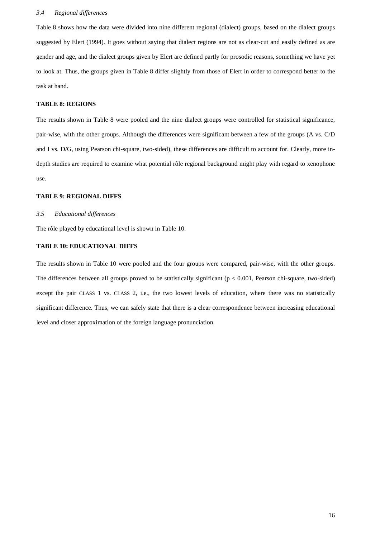## *3.4 Regional differences*

Table 8 shows how the data were divided into nine different regional (dialect) groups, based on the dialect groups suggested by Elert (1994). It goes without saying that dialect regions are not as clear-cut and easily defined as are gender and age, and the dialect groups given by Elert are defined partly for prosodic reasons, something we have yet to look at. Thus, the groups given in Table 8 differ slightly from those of Elert in order to correspond better to the task at hand.

# **TABLE 8: REGIONS**

The results shown in Table 8 were pooled and the nine dialect groups were controlled for statistical significance, pair-wise, with the other groups. Although the differences were significant between a few of the groups (A vs. C/D and I vs. D/G, using Pearson chi-square, two-sided), these differences are difficult to account for. Clearly, more indepth studies are required to examine what potential rôle regional background might play with regard to xenophone use.

# **TABLE 9: REGIONAL DIFFS**

# *3.5 Educational differences*

The rôle played by educational level is shown in Table 10.

# **TABLE 10: EDUCATIONAL DIFFS**

The results shown in Table 10 were pooled and the four groups were compared, pair-wise, with the other groups. The differences between all groups proved to be statistically significant  $(p < 0.001$ , Pearson chi-square, two-sided) except the pair CLASS 1 vs. CLASS 2, i.e., the two lowest levels of education, where there was no statistically significant difference. Thus, we can safely state that there is a clear correspondence between increasing educational level and closer approximation of the foreign language pronunciation.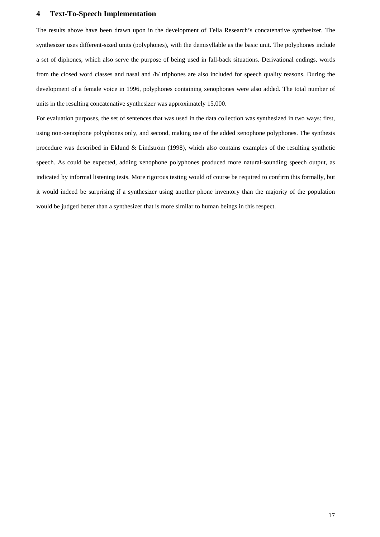# **4 Text-To-Speech Implementation**

The results above have been drawn upon in the development of Telia Research's concatenative synthesizer. The synthesizer uses different-sized units (polyphones), with the demisyllable as the basic unit. The polyphones include a set of diphones, which also serve the purpose of being used in fall-back situations. Derivational endings, words from the closed word classes and nasal and /h/ triphones are also included for speech quality reasons. During the development of a female voice in 1996, polyphones containing xenophones were also added. The total number of units in the resulting concatenative synthesizer was approximately 15,000.

For evaluation purposes, the set of sentences that was used in the data collection was synthesized in two ways: first, using non-xenophone polyphones only, and second, making use of the added xenophone polyphones. The synthesis procedure was described in Eklund & Lindström (1998), which also contains examples of the resulting synthetic speech. As could be expected, adding xenophone polyphones produced more natural-sounding speech output, as indicated by informal listening tests. More rigorous testing would of course be required to confirm this formally, but it would indeed be surprising if a synthesizer using another phone inventory than the majority of the population would be judged better than a synthesizer that is more similar to human beings in this respect.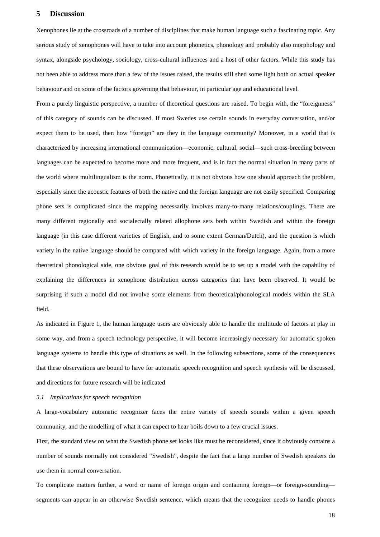# **5 Discussion**

Xenophones lie at the crossroads of a number of disciplines that make human language such a fascinating topic. Any serious study of xenophones will have to take into account phonetics, phonology and probably also morphology and syntax, alongside psychology, sociology, cross-cultural influences and a host of other factors. While this study has not been able to address more than a few of the issues raised, the results still shed some light both on actual speaker behaviour and on some of the factors governing that behaviour, in particular age and educational level.

From a purely linguistic perspective, a number of theoretical questions are raised. To begin with, the "foreignness" of this category of sounds can be discussed. If most Swedes use certain sounds in everyday conversation, and/or expect them to be used, then how "foreign" are they in the language community? Moreover, in a world that is characterized by increasing international communication—economic, cultural, social—such cross-breeding between languages can be expected to become more and more frequent, and is in fact the normal situation in many parts of the world where multilingualism is the norm. Phonetically, it is not obvious how one should approach the problem, especially since the acoustic features of both the native and the foreign language are not easily specified. Comparing phone sets is complicated since the mapping necessarily involves many-to-many relations/couplings. There are many different regionally and socialectally related allophone sets both within Swedish and within the foreign language (in this case different varieties of English, and to some extent German/Dutch), and the question is which variety in the native language should be compared with which variety in the foreign language. Again, from a more theoretical phonological side, one obvious goal of this research would be to set up a model with the capability of explaining the differences in xenophone distribution across categories that have been observed. It would be surprising if such a model did not involve some elements from theoretical/phonological models within the SLA field.

As indicated in Figure 1, the human language users are obviously able to handle the multitude of factors at play in some way, and from a speech technology perspective, it will become increasingly necessary for automatic spoken language systems to handle this type of situations as well. In the following subsections, some of the consequences that these observations are bound to have for automatic speech recognition and speech synthesis will be discussed, and directions for future research will be indicated

# *5.1 Implications for speech recognition*

A large-vocabulary automatic recognizer faces the entire variety of speech sounds within a given speech community, and the modelling of what it can expect to hear boils down to a few crucial issues.

First, the standard view on what the Swedish phone set looks like must be reconsidered, since it obviously contains a number of sounds normally not considered "Swedish", despite the fact that a large number of Swedish speakers do use them in normal conversation.

To complicate matters further, a word or name of foreign origin and containing foreign—or foreign-sounding segments can appear in an otherwise Swedish sentence, which means that the recognizer needs to handle phones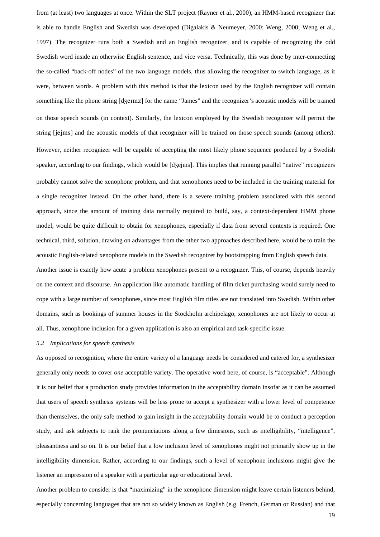from (at least) two languages at once. Within the SLT project (Rayner et al., 2000), an HMM-based recognizer that is able to handle English and Swedish was developed (Digalakis & Neumeyer, 2000; Weng, 2000; Weng et al., 1997). The recognizer runs both a Swedish and an English recognizer, and is capable of recognizing the odd Swedish word inside an otherwise English sentence, and vice versa. Technically, this was done by inter-connecting the so-called "back-off nodes" of the two language models, thus allowing the recognizer to switch language, as it were, between words. A problem with this method is that the lexicon used by the English recognizer will contain something like the phone string [dʒeɪmz] for the name "James" and the recognizer's acoustic models will be trained on those speech sounds (in context). Similarly, the lexicon employed by the Swedish recognizer will permit the string [jejms] and the acoustic models of that recognizer will be trained on those speech sounds (among others). However, neither recognizer will be capable of accepting the most likely phone sequence produced by a Swedish speaker, according to our findings, which would be [d $\tau$ ejms]. This implies that running parallel "native" recognizers probably cannot solve the xenophone problem, and that xenophones need to be included in the training material for a single recognizer instead. On the other hand, there is a severe training problem associated with this second approach, since the amount of training data normally required to build, say, a context-dependent HMM phone model, would be quite difficult to obtain for xenophones, especially if data from several contexts is required. One technical, third, solution, drawing on advantages from the other two approaches described here, would be to train the acoustic English-related xenophone models in the Swedish recognizer by bootstrapping from English speech data. Another issue is exactly how acute a problem xenophones present to a recognizer. This, of course, depends heavily on the context and discourse. An application like automatic handling of film ticket purchasing would surely need to cope with a large number of xenophones, since most English film titles are not translated into Swedish. Within other

domains, such as bookings of summer houses in the Stockholm archipelago, xenophones are not likely to occur at all. Thus, xenophone inclusion for a given application is also an empirical and task-specific issue.

## *5.2 Implications for speech synthesis*

As opposed to recognition, where the entire variety of a language needs be considered and catered for, a synthesizer generally only needs to cover *one* acceptable variety. The operative word here, of course, is "acceptable". Although it is our belief that a production study provides information in the acceptability domain insofar as it can be assumed that users of speech synthesis systems will be less prone to accept a synthesizer with a lower level of competence than themselves, the only safe method to gain insight in the acceptability domain would be to conduct a perception study, and ask subjects to rank the pronunciations along a few dimesions, such as intelligibility, "intelligence", pleasantness and so on. It is our belief that a low inclusion level of xenophones might not primarily show up in the intelligibility dimension. Rather, according to our findings, such a level of xenophone inclusions might give the listener an impression of a speaker with a particular age or educational level.

Another problem to consider is that "maximizing" in the xenophone dimension might leave certain listeners behind, especially concerning languages that are not so widely known as English (e.g. French, German or Russian) and that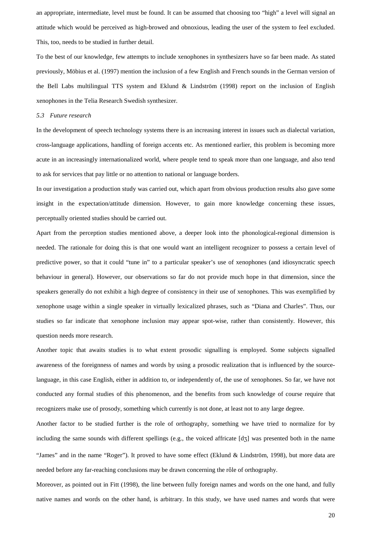an appropriate, intermediate, level must be found. It can be assumed that choosing too "high" a level will signal an attitude which would be perceived as high-browed and obnoxious, leading the user of the system to feel excluded. This, too, needs to be studied in further detail.

To the best of our knowledge, few attempts to include xenophones in synthesizers have so far been made. As stated previously, Möbius et al. (1997) mention the inclusion of a few English and French sounds in the German version of the Bell Labs multilingual TTS system and Eklund & Lindström (1998) report on the inclusion of English xenophones in the Telia Research Swedish synthesizer.

# *5.3 Future research*

In the development of speech technology systems there is an increasing interest in issues such as dialectal variation, cross-language applications, handling of foreign accents etc. As mentioned earlier, this problem is becoming more acute in an increasingly internationalized world, where people tend to speak more than one language, and also tend to ask for services that pay little or no attention to national or language borders.

In our investigation a production study was carried out, which apart from obvious production results also gave some insight in the expectation/attitude dimension. However, to gain more knowledge concerning these issues, perceptually oriented studies should be carried out.

Apart from the perception studies mentioned above, a deeper look into the phonological-regional dimension is needed. The rationale for doing this is that one would want an intelligent recognizer to possess a certain level of predictive power, so that it could "tune in" to a particular speaker's use of xenophones (and idiosyncratic speech behaviour in general). However, our observations so far do not provide much hope in that dimension, since the speakers generally do not exhibit a high degree of consistency in their use of xenophones. This was exemplified by xenophone usage within a single speaker in virtually lexicalized phrases, such as "Diana and Charles". Thus, our studies so far indicate that xenophone inclusion may appear spot-wise, rather than consistently. However, this question needs more research.

Another topic that awaits studies is to what extent prosodic signalling is employed. Some subjects signalled awareness of the foreignness of names and words by using a prosodic realization that is influenced by the sourcelanguage, in this case English, either in addition to, or independently of, the use of xenophones. So far, we have not conducted any formal studies of this phenomenon, and the benefits from such knowledge of course require that recognizers make use of prosody, something which currently is not done, at least not to any large degree.

Another factor to be studied further is the role of orthography, something we have tried to normalize for by including the same sounds with different spellings (e.g., the voiced affricate  $\lceil d \, \zeta \rceil$ ) was presented both in the name "James" and in the name "Roger"). It proved to have some effect (Eklund & Lindström, 1998), but more data are needed before any far-reaching conclusions may be drawn concerning the rôle of orthography.

Moreover, as pointed out in Fitt (1998), the line between fully foreign names and words on the one hand, and fully native names and words on the other hand, is arbitrary. In this study, we have used names and words that were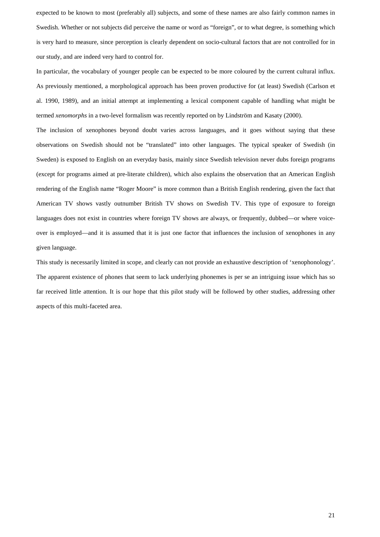expected to be known to most (preferably all) subjects, and some of these names are also fairly common names in Swedish. Whether or not subjects did perceive the name or word as "foreign", or to what degree, is something which is very hard to measure, since perception is clearly dependent on socio-cultural factors that are not controlled for in our study, and are indeed very hard to control for.

In particular, the vocabulary of younger people can be expected to be more coloured by the current cultural influx. As previously mentioned, a morphological approach has been proven productive for (at least) Swedish (Carlson et al. 1990, 1989), and an initial attempt at implementing a lexical component capable of handling what might be termed *xenomorphs* in a two-level formalism was recently reported on by Lindström and Kasaty (2000).

The inclusion of xenophones beyond doubt varies across languages, and it goes without saying that these observations on Swedish should not be "translated" into other languages. The typical speaker of Swedish (in Sweden) is exposed to English on an everyday basis, mainly since Swedish television never dubs foreign programs (except for programs aimed at pre-literate children), which also explains the observation that an American English rendering of the English name "Roger Moore" is more common than a British English rendering, given the fact that American TV shows vastly outnumber British TV shows on Swedish TV. This type of exposure to foreign languages does not exist in countries where foreign TV shows are always, or frequently, dubbed—or where voiceover is employed—and it is assumed that it is just one factor that influences the inclusion of xenophones in any given language.

This study is necessarily limited in scope, and clearly can not provide an exhaustive description of 'xenophonology'. The apparent existence of phones that seem to lack underlying phonemes is per se an intriguing issue which has so far received little attention. It is our hope that this pilot study will be followed by other studies, addressing other aspects of this multi-faceted area.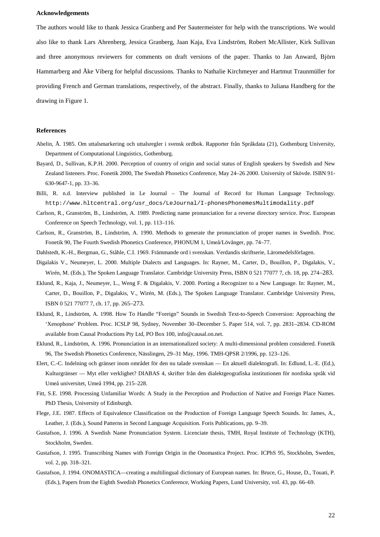## **Acknowledgements**

The authors would like to thank Jessica Granberg and Per Sautermeister for help with the transcriptions. We would also like to thank Lars Ahrenberg, Jessica Granberg, Jaan Kaja, Eva Lindström, Robert McAllister, Kirk Sullivan and three anonymous reviewers for comments on draft versions of the paper. Thanks to Jan Anward, Björn Hammarberg and Åke Viberg for helpful discussions. Thanks to Nathalie Kirchmeyer and Hartmut Traunmüller for providing French and German translations, respectively, of the abstract. Finally, thanks to Juliana Handberg for the drawing in Figure 1.

#### **References**

- Abelin, Å. 1985. Om uttalsmarkering och uttalsregler i svensk ordbok. Rapporter från Språkdata (21), Gothenburg University, Department of Computational Linguistics, Gothenburg.
- Bayard, D., Sullivan, K.P.H. 2000. Perception of country of origin and social status of English speakers by Swedish and New Zealand listeners. Proc. Fonetik 2000, The Swedish Phonetics Conference, May 24–26 2000. University of Skövde. ISBN 91- 630-9647-1, pp. 33–36.
- Billi, R. n.d. Interview published in Le Journal The Journal of Record for Human Language Technology. http://www.hltcentral.org/usr\_docs/LeJournal/I-phonesPhonemesMultimodality.pdf
- Carlson, R., Granström, B., Lindström, A. 1989. Predicting name pronunciation for a reverse directory service. Proc. European Conference on Speech Technology, vol. 1, pp. 113–116.
- Carlson, R., Granström, B., Lindström, A. 1990. Methods to generate the pronunciation of proper names in Swedish. Proc. Fonetik 90, The Fourth Swedish Phonetics Conference, PHONUM 1, Umeå/Lövånger, pp. 74–77.
- Dahlstedt, K.-H., Bergman, G., Ståhle, C.I. 1969. Främmande ord i svenskan. Verdandis skriftserie, Läromedelsförlagen.
- Digalakis V., Neumeyer, L. 2000. Multiple Dialects and Languages. In: Rayner, M., Carter, D., Bouillon, P., Digalakis, V., Wirén, M. (Eds.), The Spoken Language Translator. Cambridge University Press, ISBN 0 521 77077 7, ch. 18, pp. 274–283.
- Eklund, R., Kaja, J., Neumeyer, L., Weng F. & Digalakis, V. 2000. Porting a Recognizer to a New Language. In: Rayner, M., Carter, D., Bouillon, P., Digalakis, V., Wirén, M. (Eds.), The Spoken Language Translator. Cambridge University Press, ISBN 0 521 77077 7, ch. 17, pp. 265–273.
- Eklund, R., Lindström, A. 1998. How To Handle "Foreign" Sounds in Swedish Text-to-Speech Conversion: Approaching the 'Xenophone' Problem. Proc. ICSLP 98, Sydney, November 30–December 5. Paper 514, vol. 7, pp. 2831–2834. CD-ROM available from Causal Productions Pty Ltd, PO Box 100, info@causal.on.net.
- Eklund, R., Lindström, A. 1996. Pronunciation in an internationalized society: A multi-dimensional problem considered. Fonetik 96, The Swedish Phonetics Conference, Nässlingen, 29–31 May, 1996. TMH-QPSR 2/1996, pp. 123–126.
- Elert, C.-C. Indelning och gränser inom området för den nu talade svenskan En aktuell dialektografi. In: Edlund, L.-E. (Ed.), Kulturgränser — Myt eller verklighet? DIABAS 4, skrifter från den dialektgeografiska institutionen för nordiska språk vid Umeå universitet, Umeå 1994, pp. 215–228.
- Fitt, S.E. 1998. Processing Unfamiliar Words: A Study in the Perception and Production of Native and Foreign Place Names. PhD Thesis, University of Edinburgh.
- Flege, J.E. 1987. Effects of Equivalence Classification on the Production of Foreign Language Speech Sounds. In: James, A., Leather, J. (Eds.), Sound Patterns in Second Language Acquisition. Foris Publications, pp. 9–39.
- Gustafson, J. 1996. A Swedish Name Pronunciation System. Licenciate thesis, TMH, Royal Institute of Technology (KTH), Stockholm, Sweden.
- Gustafson, J. 1995. Transcribing Names with Foreign Origin in the Onomastica Project. Proc. ICPhS 95, Stockholm, Sweden, vol. 2, pp. 318–321.
- Gustafson, J. 1994. ONOMASTICA—creating a multilingual dictionary of European names. In: Bruce, G., House, D., Touati, P. (Eds.), Papers from the Eighth Swedish Phonetics Conference, Working Papers, Lund University, vol. 43, pp. 66–69.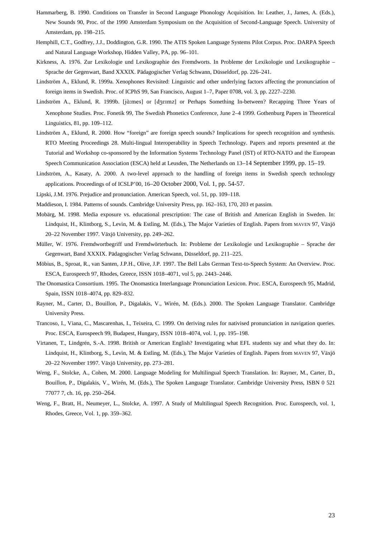- Hammarberg, B. 1990. Conditions on Transfer in Second Language Phonology Acquisition. In: Leather, J., James, A. (Eds.), New Sounds 90, Proc. of the 1990 Amsterdam Symposium on the Acquisition of Second-Language Speech. University of Amsterdam, pp. 198–215.
- Hemphill, C.T., Godfrey, J.J., Doddington, G.R. 1990. The ATIS Spoken Language Systems Pilot Corpus. Proc. DARPA Speech and Natural Language Workshop, Hidden Valley, PA, pp. 96–101.
- Kirkness, A. 1976. Zur Lexikologie und Lexikographie des Fremdworts. In Probleme der Lexikologie und Lexikographie Sprache der Gegenwart, Band XXXIX. Pädagogischer Verlag Schwann, Düsseldorf, pp. 226–241.
- Lindström A., Eklund, R. 1999a. Xenophones Revisited: Linguistic and other underlying factors affecting the pronunciation of foreign items in Swedish. Proc. of ICPhS 99, San Francisco, August 1–7, Paper 0708, vol. 3, pp. 2227–2230.
- Lindström A., Eklund, R. 1999b. [jà:mes] or [dʒɛɪmz] or Perhaps Something In-between? Recapping Three Years of Xenophone Studies. Proc. Fonetik 99, The Swedish Phonetics Conference, June 2–4 1999. Gothenburg Papers in Theoretical Linguistics, 81, pp. 109–112.
- Lindström A., Eklund, R. 2000. How "foreign" are foreign speech sounds? Implications for speech recognition and synthesis. RTO Meeting Proceedings 28. Multi-lingual Interoperability in Speech Technology. Papers and reports presented at the Tutorial and Workshop co-sponsored by the Information Systems Technology Panel (IST) of RTO-NATO and the European Speech Communication Association (ESCA) held at Leusden, The Netherlands on 13–14 September 1999, pp. 15–19.
- Lindström, A., Kasaty, A. 2000. A two-level approach to the handling of foreign items in Swedish speech technology applications. Proceedings of of ICSLP'00, 16–20 October 2000, Vol. 1, pp. 54-57.
- Lipski, J.M. 1976. Prejudice and pronunciation. American Speech, vol. 51, pp. 109–118.
- Maddieson, I. 1984. Patterns of sounds. Cambridge University Press, pp. 162–163, 170, 203 et passim.
- Mobärg, M. 1998. Media exposure vs. educational prescription: The case of British and American English in Sweden. In: Lindquist, H., Klintborg, S., Levin, M. & Estling, M. (Eds.), The Major Varieties of English. Papers from MAVEN 97, Växjö 20–22 November 1997. Växjö University, pp. 249–262.
- Müller, W. 1976. Fremdwortbegriff und Fremdwörterbuch. In: Probleme der Lexikologie und Lexikographie Sprache der Gegenwart, Band XXXIX. Pädagogischer Verlag Schwann, Düsseldorf, pp. 211–225.
- Möbius, B., Sproat, R., van Santen, J.P.H., Olive, J.P. 1997. The Bell Labs German Text-to-Speech System: An Overview. Proc. ESCA, Eurospeech 97, Rhodes, Greece, ISSN 1018–4071, vol 5, pp. 2443–2446.
- The Onomastica Consortium. 1995. The Onomastica Interlanguage Pronunciation Lexicon. Proc. ESCA, Eurospeech 95, Madrid, Spain, ISSN 1018–4074, pp. 829–832.
- Rayner, M., Carter, D., Bouillon, P., Digalakis, V., Wirén, M. (Eds.). 2000. The Spoken Language Translator. Cambridge University Press.
- Trancoso, I., Viana, C., Mascarenhas, I., Teixeira, C. 1999. On deriving rules for nativised pronunciation in navigation queries. Proc. ESCA, Eurospeech 99, Budapest, Hungary, ISSN 1018–4074, vol. 1, pp. 195–198.
- Virtanen, T., Lindgrén, S.-A. 1998. British or American English? Investigating what EFL students say and what they do. In: Lindquist, H., Klintborg, S., Levin, M. & Estling, M. (Eds.), The Major Varieties of English. Papers from MAVEN 97, Växjö 20–22 November 1997. Växjö University, pp. 273–281.
- Weng, F., Stolcke, A., Cohen, M. 2000. Language Modeling for Multilingual Speech Translation. In: Rayner, M., Carter, D., Bouillon, P., Digalakis, V., Wirén, M. (Eds.), The Spoken Language Translator. Cambridge University Press, ISBN 0 521 77077 7, ch. 16, pp. 250–264.
- Weng, F., Bratt, H., Neumeyer, L., Stolcke, A. 1997. A Study of Multilingual Speech Recognition. Proc. Eurospeech, vol. 1, Rhodes, Greece, Vol. 1, pp. 359–362.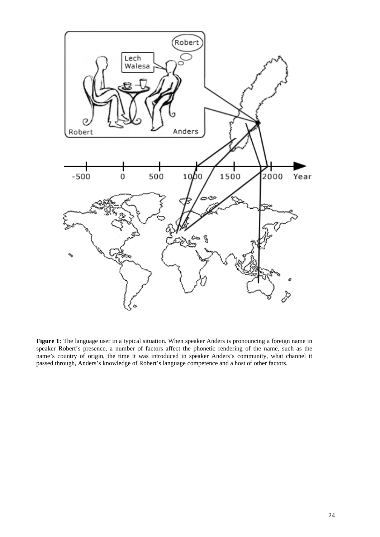

**Figure 1:** The language user in a typical situation. When speaker Anders is pronouncing a foreign name in speaker Robert's presence, a number of factors affect the phonetic rendering of the name, such as the name's country of origin, the time it was introduced in speaker Anders's community, what channel it passed through, Anders's knowledge of Robert's language competence and a host of other factors.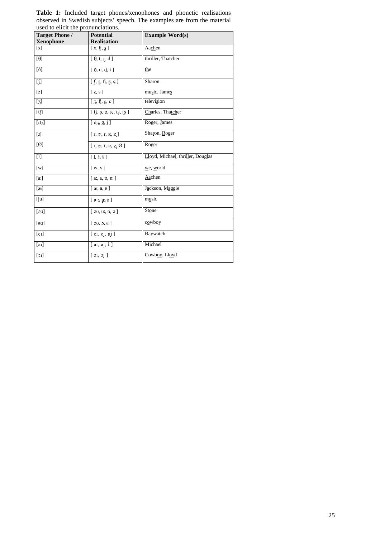| <b>Target Phone /</b> | <b>Potential</b>                       | <b>Example Word(s)</b>            |
|-----------------------|----------------------------------------|-----------------------------------|
| <b>Xenophone</b>      | <b>Realisation</b>                     |                                   |
| [x]                   | $[~{\rm x},\,\mathfrak{h},\,{\rm g}~]$ | Aachen                            |
| [0]                   | $\boxed{0, t, t, d}$                   | thriller, Thatcher                |
| $[\delta]$            | $\lceil \delta, d, d, t \rceil$        | the                               |
| $[]$                  | $[\int, s, \hat{\theta}, s, c]$        | Sharon                            |
| [z]                   | [z, s]                                 | music, James                      |
| $[3]$                 | $[3, \hat{h}, 8, \hat{v}]$             | television                        |
| [t]                   | $[$ tf, $s$ , $c$ , tc, ts, ts $]$     | Charles, Thatcher                 |
| $[d_3]$               | [d3, g, j]                             | Roger, James                      |
| $[1]$                 | $[r, \mathcal{D}, r, R, Z]$            | Sharon, Roger                     |
| [Ø]                   | [ $r, \sigma, r, R, Z, \emptyset$ ]    | Roger                             |
| $[1]$                 | [1, 1, 1]                              | Lloyd, Michael, thriller, Douglas |
| [w]                   | $\lceil w, v \rceil$                   | we, world                         |
| [a!]                  | [a, a, b, b]                           | Aachen                            |
| $\lceil x \rceil$     | [x, a, e]                              | Jackson, Maggie                   |
| [ju]                  | $[$ ju:, $\mathfrak{m}, \Theta]$       | music                             |
| $\lceil 30 \rceil$    | [30, u, 0, 0]                          | Stone                             |
| [av]                  | [30, 3, a]                             | cowboy                            |
| [el]                  | $[$ e <sub>I</sub> , ej, aj $]$        | Baywatch                          |
| [a]                   | $[$ a <sub>I</sub> , aj, i $]$         | Michael                           |
| [01]                  | [3i, 3j]                               | Cowboy, Lloyd                     |

**Table 1:** Included target phones/xenophones and phonetic realisations observed in Swedish subjects' speech. The examples are from the material used to elicit the pronunciations.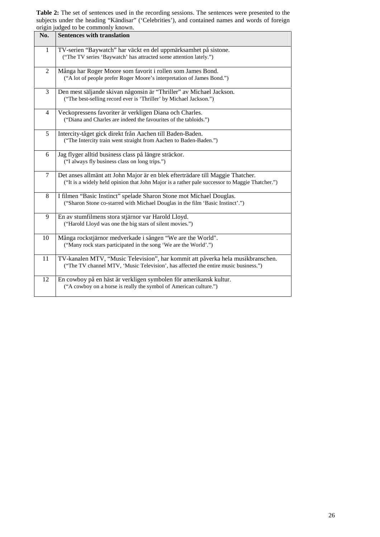**Table 2:** The set of sentences used in the recording sessions. The sentences were presented to the subjects under the heading "Kändisar" ('Celebrities'), and contained names and words of foreign origin judged to be commonly known.

| No.            | <b>Sentences with translation</b>                                                                                                                                                |
|----------------|----------------------------------------------------------------------------------------------------------------------------------------------------------------------------------|
| $\mathbf{1}$   | TV-serien "Baywatch" har väckt en del uppmärksamhet på sistone.<br>("The TV series 'Baywatch' has attracted some attention lately.")                                             |
| $\overline{2}$ | Många har Roger Moore som favorit i rollen som James Bond.<br>("A lot of people prefer Roger Moore's interpretation of James Bond.")                                             |
| 3              | Den mest säljande skivan någonsin är "Thriller" av Michael Jackson.<br>("The best-selling record ever is 'Thriller' by Michael Jackson.")                                        |
| $\overline{4}$ | Veckopressens favoriter är verkligen Diana och Charles.<br>("Diana and Charles are indeed the favourites of the tabloids.")                                                      |
| 5              | Intercity-tåget gick direkt från Aachen till Baden-Baden.<br>("The Intercity train went straight from Aachen to Baden-Baden.")                                                   |
| 6              | Jag flyger alltid business class på längre sträckor.<br>("I always fly business class on long trips.")                                                                           |
| 7              | Det anses allmänt att John Major är en blek efterträdare till Maggie Thatcher.<br>("It is a widely held opinion that John Major is a rather pale successor to Maggie Thatcher.") |
| 8              | I filmen "Basic Instinct" spelade Sharon Stone mot Michael Douglas.<br>("Sharon Stone co-starred with Michael Douglas in the film 'Basic Instinct'.")                            |
| 9              | En av stumfilmens stora stjärnor var Harold Lloyd.<br>("Harold Lloyd was one the big stars of silent movies.")                                                                   |
| 10             | Många rockstjärnor medverkade i sången "We are the World".<br>("Many rock stars participated in the song 'We are the World'.")                                                   |
| 11             | TV-kanalen MTV, "Music Television", har kommit att påverka hela musikbranschen.<br>("The TV channel MTV, 'Music Television', has affected the entire music business.")           |
| 12             | En cowboy på en häst är verkligen symbolen för amerikansk kultur.<br>("A cowboy on a horse is really the symbol of American culture.")                                           |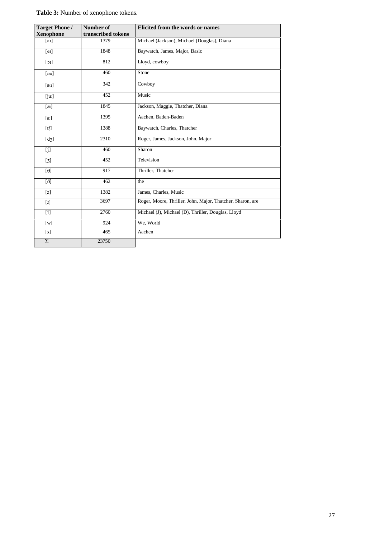**Table 3:** Number of xenophone tokens.

| <b>Target Phone /</b><br><b>Xenophone</b> | Number of<br>transcribed tokens | Elicited from the words or names                           |
|-------------------------------------------|---------------------------------|------------------------------------------------------------|
| $[a_1]$                                   | 1379                            | Michael (Jackson), Michael (Douglas), Diana                |
| $[e_1]$                                   | 1848                            | Baywatch, James, Major, Basic                              |
| [10]                                      | 812                             | Lloyd, cowboy                                              |
| $[\overline{\mathfrak{so}}]$              | 460                             | Stone                                                      |
| [av]                                      | 342                             | Cowboy                                                     |
| $[$ ju:]                                  | 452                             | Music                                                      |
| [x]                                       | 1845                            | Jackson, Maggie, Thatcher, Diana                           |
| [a:]                                      | 1395                            | Aachen, Baden-Baden                                        |
| [t]                                       | 1388                            | Baywatch, Charles, Thatcher                                |
| $[d_3]$                                   | 2310                            | Roger, James, Jackson, John, Major                         |
|                                           | 460                             | Sharon                                                     |
| $[3]$                                     | 452                             | Television                                                 |
| [0]                                       | 917                             | Thriller, Thatcher                                         |
| $\lceil \delta \rceil$                    | 462                             | the                                                        |
| $\lceil z \rceil$                         | 1382                            | James, Charles, Music                                      |
| $[1]$                                     | 3697                            | Roger, Moore, Thriller, John, Major, Thatcher, Sharon, are |
| $[1]$                                     | 2760                            | Michael (J), Michael (D), Thriller, Douglas, Lloyd         |
| $\lceil w \rceil$                         | 924                             | We, World                                                  |
| $\left[ \mathrm{x}\right]$                | 465                             | Aachen                                                     |
| $\Sigma$                                  | 23750                           |                                                            |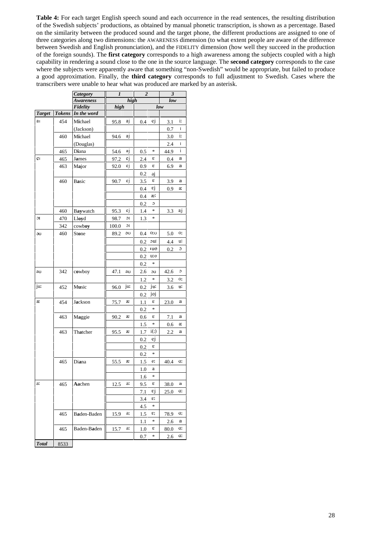**Table 4:** For each target English speech sound and each occurrence in the read sentences, the resulting distribution of the Swedish subjects' productions, as obtained by manual phonetic transcription, is shown as a percentage. Based on the similarity between the produced sound and the target phone, the different productions are assigned to one of three categories along two dimensions: the AWARENESS dimension (to what extent people are aware of the difference between Swedish and English pronunciation), and the FIDELITY dimension (how well they succeed in the production of the foreign sounds). The **first category** corresponds to a high awareness among the subjects coupled with a high capability in rendering a sound close to the one in the source language. The **second category** corresponds to the case where the subjects were apparently aware that something "non-Swedish" would be appropriate, but failed to produce a good approximation. Finally, the **third category** corresponds to full adjustment to Swedish. Cases where the transcribers were unable to hear what was produced are marked by an asterisk.

|               |               | <b>Category</b>  | 1     |      | $\overline{2}$ |                | 3    |         |  |  |  |
|---------------|---------------|------------------|-------|------|----------------|----------------|------|---------|--|--|--|
|               |               | <b>Awareness</b> |       | high |                |                | low  |         |  |  |  |
|               |               | Fidelity         | high  |      |                |                | low  |         |  |  |  |
| <b>Target</b> | <b>Tokens</b> | In the word      |       |      |                |                |      |         |  |  |  |
| aı            | 454           | Michael          | 95.8  | aj   | 0.4            | ej             | 3.1  | i:      |  |  |  |
|               |               | (Jackson)        |       |      |                |                | 0.7  | 1       |  |  |  |
|               | 460           | Michael          | 94.6  | aj   |                |                | 3.0  | i:      |  |  |  |
|               |               | (Douglas)        |       |      |                |                | 2.4  | I       |  |  |  |
|               | 465           | Diana            | 54.6  | aj   | 0.5            | $\ast$         | 44.9 | i       |  |  |  |
| eı            | 465           | James            | 97.2  | ej   | 2.4            | ε              | 0.4  | a       |  |  |  |
|               | 463           | Major            | 92.0  | ej   | 0.9            | ε              | 6.9  | a       |  |  |  |
|               |               |                  |       |      | 0.2            | aj             |      |         |  |  |  |
|               | 460           | Basic            | 90.7  | ej   | 3.5            | ε              | 3.9  | a       |  |  |  |
|               |               |                  |       |      | 0.4            | εj             | 0.9  | a:      |  |  |  |
|               |               |                  |       |      | 0.4            | æ:             |      |         |  |  |  |
|               |               |                  |       |      | 0.2            | $\circ$        |      |         |  |  |  |
|               | 460           | Baywatch         | 95.3  | ej   | 1.4            | $\ast$         | 3.3  | aj      |  |  |  |
| JС            | 470           | Lloyd            | 98.7  | 10   | 1.3            | $\ast$         |      |         |  |  |  |
|               | 342           | cowboy           | 100.0 | 10   |                |                |      |         |  |  |  |
| əυ            | 460           | Stone            | 89.2  | əυ   |                | 0.4~0.0        | 5.0  | о:      |  |  |  |
|               |               |                  |       |      | 0.2            | uc:            | 4.4  | u:      |  |  |  |
|               |               |                  |       |      | 0.2            | Iμθ            | 0.2  | $\circ$ |  |  |  |
|               |               |                  |       |      | 0.2            | $u$ : $\theta$ |      |         |  |  |  |
|               |               |                  |       |      | $0.2\,$        | $\ast$         |      |         |  |  |  |
| aυ            | 342           | cowboy           | 47.1  | aυ   | 2.6            | οU             | 42.6 | c       |  |  |  |
|               |               |                  |       |      | 1.2            | $\ast$         | 3.2  | о:      |  |  |  |
| ju:           | 452           | Music            | 96.0  | ju:  | 0.2            | ju:            | 3.6  | u:      |  |  |  |
|               |               |                  |       |      | $0.2\,$        | joj            |      |         |  |  |  |
| æ             | 454           | Jackson          | 75.7  | æ    | 1.1            | ε              | 23.0 | a       |  |  |  |
|               |               |                  |       |      | 0.2            | $\ast$         |      |         |  |  |  |
|               | 463           | Maggie           | 90.2  | æ    | 0.6            | ε              | 7.1  | a       |  |  |  |
|               |               |                  |       |      | 1.5            | $\ast$         | 0.6  | a:      |  |  |  |
|               | 463           | Thatcher         | 95.5  | æ    | 1.7            | $i($ :)        | 2.2  | a       |  |  |  |
|               |               |                  |       |      | 0.2            | ej             |      |         |  |  |  |
|               |               |                  |       |      | 0.2            | ε              |      |         |  |  |  |
|               |               |                  |       |      | 0.2            | $\ast$         |      |         |  |  |  |
|               | 465           | Diana            | 55.5  | æ    | 1.5            | e:             | 40.4 | a:      |  |  |  |
|               |               |                  |       |      | 1.0            | a              |      |         |  |  |  |
|               |               |                  |       |      | $1.6\,$        | $\ast$         |      |         |  |  |  |
| a:            | 465           | Aachen           | 12.5  | a:   | 9.5            | ε              | 38.0 | a       |  |  |  |
|               |               |                  |       |      | 7.1            | εj             | 25.0 | a:      |  |  |  |
|               |               |                  |       |      | 3.4            | ε:             |      |         |  |  |  |
|               |               |                  |       |      | 4.5            | ∗              |      |         |  |  |  |
|               | 465           | Baden-Baden      | 15.9  | a:   | 1.5            | ε:             | 78.9 | a:      |  |  |  |
|               |               |                  |       |      |                | $\ast$         | 2.6  | a       |  |  |  |
|               | 465           | Baden-Baden      | 15.7  | a:   | 1.1<br>1.0     | ε              | 80.0 | a:      |  |  |  |
|               |               |                  |       |      |                | $\ast$         |      | a:      |  |  |  |
| <b>Total</b>  | 8533          |                  |       |      | 0.7            |                | 2.6  |         |  |  |  |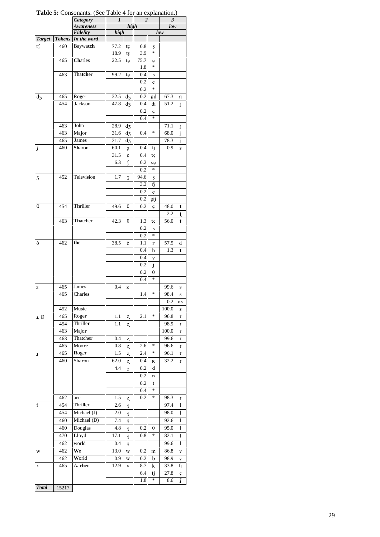|               |               | <b>Category</b>       | 1    |                             | $\boldsymbol{2}$ |              | 3           |              |  |  |
|---------------|---------------|-----------------------|------|-----------------------------|------------------|--------------|-------------|--------------|--|--|
|               |               | Awareness<br>Fidelity | high | high                        |                  |              | low         |              |  |  |
| <b>Target</b> | <b>Tokens</b> | In the word           |      |                             |                  |              | low         |              |  |  |
| tf            | 460           | Baywatch              | 77.2 | tç                          | 0.8              | ş            |             |              |  |  |
|               |               |                       | 18.9 | tş                          | 3.9              | $\ast$       |             |              |  |  |
|               | 465           | Charles               | 22.5 | tç                          | 75.7             | Ç            |             |              |  |  |
|               |               |                       |      |                             | 1.8              | *            |             |              |  |  |
|               | 463           | Thatcher              | 99.2 | tç                          | 0.4              | Ş            |             |              |  |  |
|               |               |                       |      |                             | 0.2              | ¢            |             |              |  |  |
|               |               |                       |      |                             | 0.2              | $\ast$       |             |              |  |  |
| $d_3$         | 465           | Roger                 | 32.5 | $\rm{d}_{\mathbf{\bar{3}}}$ | $0.2\,$          | gd           | 67.3        | g            |  |  |
|               | 454           | <b>Jackson</b>        | 47.8 | $d_3$                       | 0.4              | dı           | 51.2        | $\mathbf{i}$ |  |  |
|               |               |                       |      |                             | 0.2              | Ç            |             |              |  |  |
|               |               |                       |      |                             | 0.4              | $\ast$       |             |              |  |  |
|               | 463           | John                  | 28.9 | $d_3$                       |                  |              | 71.1        | j            |  |  |
|               | 463           | Major                 | 31.6 | $d_3$                       | 0.4              | $\ast$       | 68.0        | j            |  |  |
|               | 465           | <b>James</b>          | 21.7 | $d_3$                       |                  |              | 78.3        | J            |  |  |
| ſ             | 460           | Sharon                | 60.1 | ş                           | 0.4              | ĥ            | 0.9         | S            |  |  |
|               |               |                       | 31.5 | ¢                           | 0.4              | tç           |             |              |  |  |
|               |               |                       | 6.3  | ſ                           | 0.2              | SÇ           |             |              |  |  |
|               |               |                       |      |                             | 0.2              | $\ast$       |             |              |  |  |
| 3             | 452           | Television            | 1.7  | 3                           | 94.6             | ş            |             |              |  |  |
|               |               |                       |      |                             | 3.3              | ß            |             |              |  |  |
|               |               |                       |      |                             | 0.2              | Ç            |             |              |  |  |
| θ             | 454           | Thriller              |      |                             | 0.2              | şß           |             |              |  |  |
|               |               |                       | 49.6 | θ                           | 0.2              | Ç            | 48.0        | t            |  |  |
|               | 463           | Thatcher              | 42.3 | θ                           | 1.3              | tç           | 2.2<br>56.0 | t<br>t       |  |  |
|               |               |                       |      |                             | 0.2              | $\bf S$      |             |              |  |  |
|               |               |                       |      |                             | 0.2              | $\ast$       |             |              |  |  |
| ð             | 462           | the                   | 38.5 | ð                           | $1.1\,$          | r            | 57.5        | d            |  |  |
|               |               |                       |      |                             | 0.4              | h            | 1.3         | t            |  |  |
|               |               |                       |      |                             | 0.4              | $\mathbf{V}$ |             |              |  |  |
|               |               |                       |      |                             | 0.2              | j            |             |              |  |  |
|               |               |                       |      |                             | 0.2              | 0            |             |              |  |  |
|               |               |                       |      |                             | 0.4              | $\ast$       |             |              |  |  |
| z             | 465           | James                 | 0.4  | z                           |                  |              | 99.6        | s            |  |  |
|               | 465           | Charles               |      |                             | 1.4              | $\ast$       | 98.4        | ${\bf S}$    |  |  |
|               |               |                       |      |                             |                  |              | 0.2         | es           |  |  |
|               | 452           | Music                 |      |                             |                  |              | 100.0       | S            |  |  |
| ı, Ø          | 465           | Roger                 | 1.1  | Z,                          | 2.1              | $\ast$       | 96.8        | r            |  |  |
|               | 454           | Thriller              | 1.1  | Z,                          |                  |              | 98.9        | r            |  |  |
|               | 463           | Major                 |      |                             |                  |              | 100.0       | $\mathbf r$  |  |  |
|               | 463           | Thatcher              | 0.4  | Z,                          |                  |              | 99.6        | $\mathbf r$  |  |  |
|               | 465           | Moore                 | 0.8  | Z,                          | 2.6              | $\ast$       | 96.6        | r            |  |  |
| 1             | 465           | Roger                 | 1.5  | Z,                          | 2.4              | $\ast$       | 96.1        | $\mathbf r$  |  |  |
|               | 460           | Sharon                | 62.0 | Z,                          | 0.4              | R            | 32.2        | r            |  |  |
|               |               |                       | 4.4  | $\mathbf{I}$                | 0.2              | d            |             |              |  |  |
|               |               |                       |      |                             | 0.2              | n            |             |              |  |  |
|               |               |                       |      |                             | 0.2              | t            |             |              |  |  |
|               |               |                       |      |                             | 0.4              | $\ast$       |             |              |  |  |
|               | 462           | are                   | 1.5  | Z,                          | 0.2              | ∗            | 98.3        | r            |  |  |
| ł             | 454           | Thriller              | 2.6  | ł                           |                  |              | 97.4        | 1            |  |  |
|               | 454           | Michael (J)           | 2.0  | $\ddagger$                  |                  |              | 98.0        | 1            |  |  |
|               | 460           | Michael (D)           | 7.4  | $\ddagger$                  |                  |              | 92.6        | 1            |  |  |
|               | 460           | Douglas               | 4.8  | ł                           | 0.2              | 0            | 95.0        | 1            |  |  |
|               | 470           | Lloyd                 | 17.1 | ł                           | 0.8              | $\ast$       | 82.1        | 1            |  |  |
|               | 462           | world                 | 0.4  | ł                           |                  |              | 99.6        | 1            |  |  |
| W             | 462           | We                    | 13.0 | W                           | 0.2              | m            | 86.8        | V            |  |  |
|               | 462           | World                 | 0.9  | W                           | 0.2              | b            | 98.9        | V            |  |  |
| x             | 465           | Aachen                | 12.9 | X                           | 8.7              | k            | 33.8        | ĥ            |  |  |
|               |               |                       |      |                             | 6.4              | tſ           | 27.8        | Ç            |  |  |
|               |               |                       |      |                             | 1.8              | $\ast$       | 8.6         | ſ            |  |  |
| <b>Total</b>  | 15217         |                       |      |                             |                  |              |             |              |  |  |

Table 5: Consonants. (See Table 4 for an explanation.)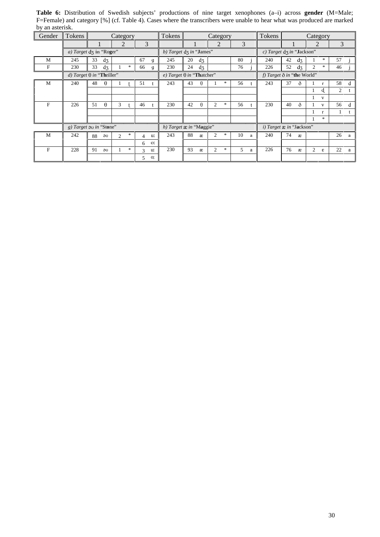| UY AII ASICITSA. | Tokens |                                  |                          |                     | Tokens                           | Tokens<br>Category |          |                |        |    |                                   |                              |    |                    |                |                         |    |   |
|------------------|--------|----------------------------------|--------------------------|---------------------|----------------------------------|--------------------|----------|----------------|--------|----|-----------------------------------|------------------------------|----|--------------------|----------------|-------------------------|----|---|
| Gender           |        |                                  | Category                 |                     |                                  | Category           |          |                |        |    |                                   |                              |    |                    |                |                         |    |   |
|                  |        |                                  | 2                        | 3                   |                                  |                    |          | 2              |        | 3  |                                   |                              |    |                    | $\overline{2}$ |                         | 3  |   |
|                  |        | a) Target dz in "Roger"          |                          |                     | b) Target dz in "James"          |                    |          |                |        |    |                                   | c) Target $d_5$ in "Jackson" |    |                    |                |                         |    |   |
| M                | 245    | 33<br>$d_3$                      |                          | 67<br>g             | 245                              | 20                 | $d_3$    |                |        | 80 |                                   | 240                          | 42 | $d_{\overline{3}}$ |                | $\ast$                  | 57 |   |
| F                | 230    | 33<br>$d_3$                      | $*$                      | 66<br>g             | 230                              | 24                 | $d_3$    |                |        | 76 |                                   | 226                          | 52 | $d_3$              | $\overline{c}$ | $\ast$                  | 46 |   |
|                  |        | d) Target $\theta$ in "Thriller" |                          |                     | e) Target $\theta$ in "Thatcher" |                    |          |                |        |    | f) Target $\delta$ in "the World" |                              |    |                    |                |                         |    |   |
| M                | 240    | 48<br>$\theta$                   |                          | 51                  | 243                              | 43                 | $\theta$ |                | *      | 56 |                                   | 243                          | 37 | $\partial$         |                | r                       | 58 | d |
|                  |        |                                  |                          |                     |                                  |                    |          |                |        |    |                                   |                              |    |                    |                | d.                      | 2  |   |
|                  |        |                                  |                          |                     |                                  |                    |          |                |        |    |                                   |                              |    |                    |                | V                       |    |   |
| F                | 226    | 51<br>$\theta$                   | 3                        | 46                  | 230                              | 42                 | $\theta$ | $\overline{c}$ | *      | 56 |                                   | 230                          | 40 | ð                  |                | $\mathbf{V}$            | 56 | d |
|                  |        |                                  |                          |                     |                                  |                    |          |                |        |    |                                   |                              |    |                    |                | $\mathbf{r}$            |    |   |
|                  |        |                                  |                          |                     |                                  |                    |          |                |        |    |                                   |                              |    |                    |                | $*$                     |    |   |
|                  |        | g) Target so in "Stone"          |                          |                     | h) Target æ in "Maggie"          |                    |          |                |        |    |                                   | i) Target æ in "Jackson"     |    |                    |                |                         |    |   |
| M                | 242    | 88<br>$\partial U$               | $\ast$<br>$\mathfrak{D}$ | u:<br>4             | 243                              | 88                 | æ        | $\mathfrak{2}$ | *      | 10 | a                                 | 240                          | 74 | æ                  |                |                         | 26 | a |
|                  |        |                                  |                          | O <sub>i</sub><br>6 |                                  |                    |          |                |        |    |                                   |                              |    |                    |                |                         |    |   |
| F                | 228    | 91<br>$\partial U$               | $*$                      | 3<br>u:             | 230                              | 93                 | æ        | 2              | $\ast$ | 5  | a                                 | 226                          | 76 | æ                  | 2              | $\boldsymbol{\epsilon}$ | 22 | a |
|                  |        |                                  |                          | O.<br>5             |                                  |                    |          |                |        |    |                                   |                              |    |                    |                |                         |    |   |
|                  |        |                                  |                          |                     |                                  |                    |          |                |        |    |                                   |                              |    |                    |                |                         |    |   |

**Table 6:** Distribution of Swedish subjects' productions of nine target xenophones (a–i) across **gender** (M=Male; F=Female) and category [%] (cf. Table 4). Cases where the transcribers were unable to hear what was produced are marked by an asterisk.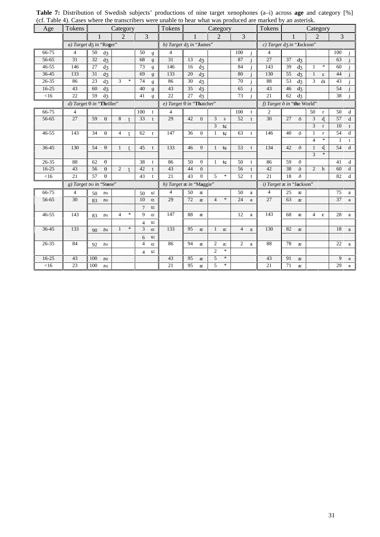| Age       | Tokens                           |                  |              | Category       |                |                |                | Tokens                           |                |                  | Category       |                                   |                |              | (et. Tuble 1). Cases where the transcribers were anable to near what was produced are marked by an ascertist.<br>Tokens |                |                           | Category               |                         |              |             |  |
|-----------|----------------------------------|------------------|--------------|----------------|----------------|----------------|----------------|----------------------------------|----------------|------------------|----------------|-----------------------------------|----------------|--------------|-------------------------------------------------------------------------------------------------------------------------|----------------|---------------------------|------------------------|-------------------------|--------------|-------------|--|
|           |                                  |                  |              | $\mathfrak{D}$ |                | $\overline{3}$ |                |                                  | $\overline{1}$ |                  | 2              |                                   | $\overline{3}$ |              |                                                                                                                         | $\overline{1}$ |                           | $\mathcal{D}_{\alpha}$ |                         | 3            |             |  |
|           | a) Target d3 in "Roger"          |                  |              |                |                |                |                | b) Target dz in "James"          |                |                  |                |                                   |                |              | $c)$ Target d <sub>3</sub> in "Jackson"                                                                                 |                |                           |                        |                         |              |             |  |
| 66-75     | $\overline{4}$                   | $50 \frac{d}{3}$ |              |                |                | 50             | $\mathbf g$    | $\overline{4}$                   |                |                  |                |                                   | 100            | j.           | $\overline{4}$                                                                                                          |                |                           |                        |                         | 100          |             |  |
| 56-65     | 31                               | 32               | $d_3$        |                |                | 68             | $\mathbf g$    | 31                               | 13             | $d_3$            |                |                                   | 87             | $\mathbf{i}$ | 27                                                                                                                      |                | $37 \frac{d}{3}$          |                        |                         | 63           |             |  |
| $46 - 55$ | 146                              | 27               | $d_3$        |                |                | 73             | $\mathfrak g$  | 146                              | 16             | $d_3$            |                |                                   | 84             |              | 143                                                                                                                     | 39             | $d_3$                     | $\mathbf{1}$           | $\ast$                  | 60           |             |  |
| 36-45     | 133                              | $31 \text{ d}_3$ |              |                |                | 69             | g              | 133                              |                | $20 \frac{d}{3}$ |                |                                   | 80             |              | 130                                                                                                                     |                | 55 d <sub>3</sub>         | $\overline{1}$         | $\mathcal{C}$           | 44           |             |  |
| $26 - 35$ | 86                               | 23               | $d_3$        | $\mathcal{E}$  | $\ast$         | 74             | $\mathfrak g$  | 86                               | 30             | $d_3$            |                |                                   | 70             |              | 88                                                                                                                      | 53             | $d_3$                     | 3 <sup>7</sup>         | dI                      | 43           |             |  |
| $16-25$   | 43                               | $60 \frac{d}{3}$ |              |                |                | 40             | $\mathbf{g}$   | 43                               | 35             | $d_3$            |                |                                   | 65             |              | 43                                                                                                                      |                | $46 \t d3$                |                        |                         | 54           |             |  |
| $<$ 16    | 22                               | 59               | $d_3$        |                |                | 41             | $\mathbf{g}$   | 22                               | 27             | $d_3$            |                |                                   | 73             |              | 21                                                                                                                      |                | $62 \frac{d}{3}$          |                        |                         | 38           |             |  |
|           | d) Target $\theta$ in "Thriller" |                  |              |                |                |                |                | e) Target $\theta$ in "Thatcher" |                |                  |                |                                   |                |              | f) Target $\delta$ in "the World"                                                                                       |                |                           |                        |                         |              |             |  |
| 66-75     | 4                                |                  |              |                |                | 100            | $-t$           | 4                                |                |                  |                |                                   | 100            | t            | 2                                                                                                                       |                |                           | 50                     | $\mathbf r$             | 50           | d           |  |
| 56-65     | 27                               | 59               | $\theta$     | 8              | $\mathbf{f}$   | 33             | t              | 29                               | 42             | $\theta$         | 3              | ${\bf S}$                         | 52             | t            | 30                                                                                                                      | 27             | ð                         | 3                      | d.                      | 57           | $\mathbf d$ |  |
|           |                                  |                  |              |                |                |                |                |                                  |                |                  | 3              | tç                                |                |              |                                                                                                                         |                |                           | $\mathfrak{Z}$         | $\mathbf r$             | 10           | t           |  |
| $46 - 55$ | 143                              | 34               | $\theta$     | $\overline{4}$ | $\mathbf{t}$   | 62             | $-t$           | 147                              | 36             | $\theta$         | $\mathbf{1}$   | tc                                | 63             | t            | 146                                                                                                                     | 40             | ð                         | 1                      | $\mathbf{r}$            | 54           | d           |  |
|           |                                  |                  |              |                |                |                |                |                                  |                |                  |                |                                   |                |              |                                                                                                                         |                |                           | $\overline{4}$         | $\ast$                  | $\mathbf{1}$ | t           |  |
| 36-45     | 130                              | $54 \theta$      |              | $\mathbf{1}$   | $\mathbf{t}$   | $45$ t         |                | 133                              | 46             | $\theta$         |                | $1$ tc                            | 53             | $-t$         | 134                                                                                                                     | 42             | ð                         | $\mathbf{1}$           | d.                      | 54           | $\mathbf d$ |  |
|           |                                  |                  |              |                |                |                |                |                                  |                |                  |                |                                   |                |              |                                                                                                                         |                |                           | $\overline{3}$         | $\ast$                  |              |             |  |
| 26-35     | 88                               | 62               | $\theta$     |                |                | 38             | t              | 86                               | 50             | $\theta$         |                | $1$ tc                            | 50             | t            | 86                                                                                                                      | 59             | ð                         |                        |                         | 41           | d           |  |
| $16-25$   | 43                               | 56               | $\theta$     | 2              | $\overline{t}$ | 42             | t              | 43                               | 44             | $\theta$         |                |                                   | 56             | t            | 42                                                                                                                      | 38             | ð                         | $2-h$                  |                         | 60           | $\mathbf d$ |  |
| $<$ 16    | 21                               | 57               | $\theta$     |                |                | 43             | $\mathbf{t}$   | $\overline{21}$                  | 43             | $\theta$         | $\overline{5}$ | $\ast$                            | 52             | $\mathbf{t}$ | 21                                                                                                                      | 18             | ð                         |                        |                         | 82           | d           |  |
|           | g) Target ou in "Stone"          |                  |              |                |                |                |                | h) Target $x$ in "Maggie"        |                |                  |                |                                   |                |              | i) Target æ in "Jackson"                                                                                                |                |                           |                        |                         |              |             |  |
| 66-75     | $\overline{4}$                   | $50 - 90$        |              |                |                | 50             | u:             | $\overline{4}$                   | 50             | æ                |                |                                   | 50             | $\rm{a}$     | $\overline{4}$                                                                                                          | 25             | æ                         |                        |                         | 75           | a           |  |
| 56-65     | 30                               | $83 - 90$        |              |                |                | 10             | <b>O</b> :     | 29                               | 72             | æ                | $\overline{4}$ | $\ast$                            | 24             | $\rm{a}$     | 27                                                                                                                      | 63             | $\boldsymbol{\mathit{x}}$ |                        |                         | 37           | $\rm{a}$    |  |
|           |                                  |                  |              |                |                | 7              | u:             |                                  |                |                  |                |                                   |                |              |                                                                                                                         |                |                           |                        |                         |              |             |  |
| $46 - 55$ | 143                              | $83 - 90$        |              | $\overline{4}$ | $\ast$         | 9              | O <sub>i</sub> | 147                              | 88             | æ                |                |                                   | 12             | $\mathbf{a}$ | 143                                                                                                                     | 68             | æ                         | 4                      | $\boldsymbol{\epsilon}$ | 28 a         |             |  |
|           |                                  |                  |              |                |                | $\overline{4}$ | u:             |                                  |                |                  |                |                                   |                |              |                                                                                                                         |                |                           |                        |                         |              |             |  |
| 36-45     | 133                              | $90 - 30$        |              | $\mathbf{1}$   | $\ast$         | $\overline{3}$ | <b>O</b> :     | 133                              | 95             | æ                |                | $1$ a:                            | 4              | a            | 130                                                                                                                     | 82             | æ                         |                        |                         | 18 a         |             |  |
|           |                                  |                  |              |                |                | 6              | u:             |                                  |                |                  |                |                                   |                |              |                                                                                                                         |                |                           |                        |                         |              |             |  |
| $26 - 35$ | 84                               | $92 - 90$        |              |                |                | $\overline{4}$ | <b>O!</b>      | 86                               | 94             | æ                | $\overline{2}$ | a:                                | $\overline{2}$ | $\rm{a}$     | 88                                                                                                                      | 78             | $\boldsymbol{x}$          |                        |                         | $22 \quad a$ |             |  |
|           |                                  |                  |              |                |                |                | 4 u:           |                                  |                |                  | $\overline{2}$ | $\frac{d\mathbf{r}}{d\mathbf{r}}$ |                |              |                                                                                                                         |                |                           |                        |                         |              |             |  |
| $16-25$   | 43                               | 100              | $\partial U$ |                |                |                |                | 43                               | 95             | æ                | 5              | $\ast$                            |                |              | 43                                                                                                                      | 91             | æ                         |                        |                         |              | 9 a         |  |
| $<$ 16    | 23                               | $100$ au         |              |                |                |                |                | 21                               | 95             | $\rm \mathbf{c}$ | $\overline{5}$ | $\ast$                            |                |              | 21                                                                                                                      | 71             | æ                         |                        |                         | 29 a         |             |  |

**Table 7:** Distribution of Swedish subjects' productions of nine target xenophones (a–i) across **age** and category [%] (cf. Table 4). Cases where the transcribers were unable to hear what was produced are marked by an asterisk.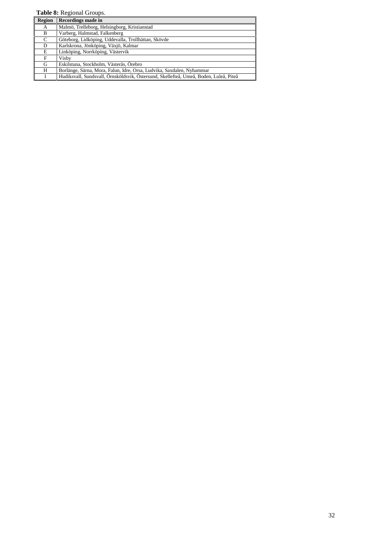**Table 8:** Regional Groups.

| Region | <b>Recordings made in</b>                                                             |
|--------|---------------------------------------------------------------------------------------|
| A      | Malmö, Trelleborg, Helsingborg, Kristianstad                                          |
| B      | Varberg, Halmstad, Falkenberg                                                         |
| C      | Göteborg, Lidköping, Uddevalla, Trollhättan, Skövde                                   |
| D      | Karlskrona, Jönköping, Växjö, Kalmar                                                  |
| E      | Linköping, Norrköping, Västervik                                                      |
| F      | Visby                                                                                 |
| G      | Eskilstuna, Stockholm, Västerås, Örebro                                               |
| H      | Borlänge, Särna, Mora, Falun, Idre, Orsa, Ludvika, Saxdalen, Nyhammar                 |
|        | Hudiksvall, Sundsvall, Örnsköldsvik, Östersund, Skellefteå, Umeå, Boden, Luleå, Piteå |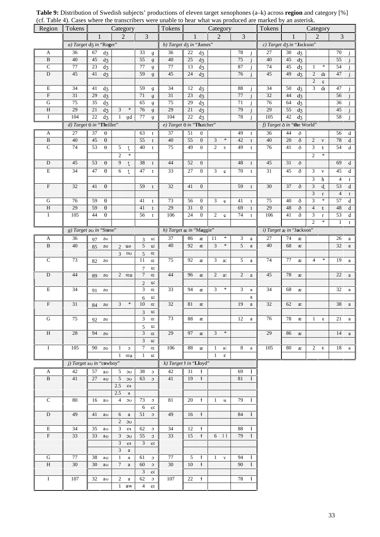| Region                  | Tokens |                                  | Category                                     |                                       | Tokens<br>Category               |                 |                       |                  |              |                |              | Tokens                     | Category |       |                             |                        |                 |              |  |
|-------------------------|--------|----------------------------------|----------------------------------------------|---------------------------------------|----------------------------------|-----------------|-----------------------|------------------|--------------|----------------|--------------|----------------------------|----------|-------|-----------------------------|------------------------|-----------------|--------------|--|
|                         |        | 1                                | 2                                            | 3                                     |                                  |                 |                       | 2                |              | 3              |              |                            |          |       |                             | 2                      | 3               |              |  |
|                         |        | a) Target d3 in "Roger"          |                                              |                                       | b) Target d3 in "James"          |                 |                       |                  |              |                |              | c) Target d3 in "Jackson"  |          |       |                             |                        |                 |              |  |
| $\mathbf A$             | 36     | $d_3$<br>67                      |                                              | 33<br>$\mathbf{g}$                    | 36                               | 22              | $d_3$                 |                  |              | 78             | j            | 27                         | 30       | $d_3$ |                             |                        | 70              | Ĵ            |  |
| $\, {\bf B}$            | 40     | 45<br>$d_3$                      |                                              | 55<br>$\mathfrak{g}$                  | 40                               | $25\,$          | $d_3$                 |                  |              | 75             |              | 40                         | 45       | $d_3$ |                             |                        | 55              |              |  |
| ${\bf C}$               | 77     | 23<br>$d_3$                      |                                              | 77<br>g                               | 77                               | 13              | $d_3$                 |                  |              | 87             |              | 74                         | 45       | $d_3$ | $\mathbf{1}$                | $\ast$                 | 54              |              |  |
| ${\rm D}$               | 45     | $\mathrm{d} z$<br>41             |                                              | 59<br>$\mathfrak{g}$                  | 45                               | $24\,$          | $d_3$                 |                  |              | 76             |              | 45                         | 49       | $d_3$ | $\overline{2}$              | $\mathrm{d}\mathbf{I}$ | 47              |              |  |
|                         |        |                                  |                                              |                                       |                                  |                 |                       |                  |              |                |              |                            |          |       | $\sqrt{2}$                  | Ç                      |                 |              |  |
| E                       | 34     | $d_3$<br>41                      |                                              | 59<br>g                               | 34                               | 12              | $d_3$                 |                  |              | 88             | İ            | 34                         | 50       | $d_3$ | $\mathfrak{Z}$              | $\mathrm{d}\mathbf{1}$ | $47\,$          |              |  |
| $\mathbf F$             | 31     | 29<br>$d_3$                      |                                              | 71<br>$\mathfrak{g}$                  | $31\,$                           | $23\,$          | $d_3$                 |                  |              | $77\,$         | $\mathbf{i}$ | 32                         | 44       | $d_3$ |                             |                        | 56              |              |  |
| ${\bf G}$               | 75     | 35<br>$d_3$                      |                                              | 65<br>g                               | 75                               | 29              | $d_3$                 |                  |              | 71             |              | 76                         | 64       | $d_3$ |                             |                        | 36              |              |  |
| $\, {\rm H}$            | $29\,$ | 21<br>$d_3$                      | $\mathfrak{Z}$<br>$\ast$                     | 76<br>$\mathfrak{g}$                  | 29                               | $21\,$          | $\mathrm{d} z$        |                  |              | 79             |              | $29\,$                     | 55       | $d_3$ |                             |                        | $45\,$          |              |  |
| $\rm I$                 | 104    | $d_3$<br>22                      | $\mathbf{1}$<br>gd                           | 77<br>g                               | 104                              | $22\,$          | $\overline{d_5}$      |                  |              | 78             |              | 105                        | 42       | $d_3$ |                             |                        | 58              |              |  |
|                         |        | d) Target $\theta$ in "Thriller" |                                              |                                       | e) Target $\theta$ in "Thatcher" |                 |                       |                  |              |                |              | f) Target ð in "the World" |          |       |                             |                        |                 |              |  |
| A                       | 27     | 37<br>$\boldsymbol{\theta}$      |                                              | 63<br>t                               | 37                               | 51              | $\theta$              |                  |              | 49             | t            | 36                         | 44       | ð     |                             |                        | 56              | d            |  |
| $\, {\bf B}$            | 40     | 45<br>$\theta$                   |                                              | 55<br>t                               | 40                               | 55              | $\theta$              | $\mathfrak{Z}$   | $\ast$       | 42             | t            | 40                         | 20       | ð     | $\overline{2}$              | $\mathbf{V}$           | 78              | d            |  |
| $\overline{C}$          | 74     | 53<br>$\theta$                   | 5<br>$^\mathrm{t}$                           | 40<br>t                               | $75\,$                           | 49              | $\theta$              | $\boldsymbol{2}$ | ${\bf S}$    | 49             | t            | 76                         | 41       | ð     | $\mathfrak{Z}$              | t                      | 54              | d            |  |
|                         |        |                                  | $\overline{2}$<br>$\ast$                     |                                       |                                  |                 |                       |                  |              |                |              |                            |          |       | $\overline{2}$              | $\ast$                 |                 |              |  |
| ${\rm D}$               | 45     | 53<br>$\theta$                   | 9<br>$^\mathrm{t}$                           | 38<br>t                               | 44                               | 52              | $\theta$              |                  |              | 48             | t            | 45                         | $31\,$   | ð     |                             |                        | 69              | $\mathbf d$  |  |
| $\mathbf E$             | 34     | 47<br>$\theta$                   | 6<br>$\ddagger$                              | 47<br>$\mathbf{t}$                    | 33                               | $\overline{27}$ | $\theta$              | 3                | $\mathbf{C}$ | 70             | t            | 31                         | 45       | ð     | 3                           | $\mathbf{V}$           | 45              | d            |  |
|                         |        |                                  |                                              |                                       |                                  |                 |                       |                  |              |                |              |                            |          |       | 3                           | h                      | $\overline{4}$  | t            |  |
| ${\bf F}$               | 32     | 41<br>$\theta$                   |                                              | 59<br>t                               | 32                               | 41              | $\theta$              |                  |              | 59             | t            | $30\,$                     | 37       | ð     | $\ensuremath{\mathfrak{Z}}$ | d                      | 53              | d            |  |
|                         |        |                                  |                                              |                                       |                                  |                 |                       |                  |              |                |              |                            |          |       | 3                           | $\mathbf r$            | $\overline{4}$  | t            |  |
| ${\bf G}$               | 76     | 59<br>$\theta$                   |                                              | 41<br>t                               | 73                               | 56              | $\theta$              | 3                | $\mathbf{C}$ | 41             | t            | 75                         | 40       | ð     | 3                           | $\ast$                 | 57              | d            |  |
| $\, {\rm H}$            | 29     | 59<br>$\theta$                   |                                              | 41<br>t                               | 29                               | 31              | $\boldsymbol{\theta}$ |                  |              | 69             | t            | $29\,$                     | 48       | ð     | $\overline{4}$              | t                      | $48\,$          | $\mathbf d$  |  |
| $\rm I$                 | 105    | 44<br>$\theta$                   |                                              | 56<br>t                               | 106                              | $24\,$          | $\Theta$              | $\overline{2}$   | $\mathbf{C}$ | 74             | t            | 106                        | 41       | ð     | $\mathfrak{Z}$              | $\mathbf r$            | $\overline{53}$ | d            |  |
|                         |        |                                  |                                              |                                       |                                  |                 |                       |                  |              |                |              |                            |          |       | $\overline{2}$              | $\ast$                 | $\mathbf{1}$    | t            |  |
|                         |        | g) Target ou in "Stone"          |                                              |                                       | h) Target æ in "Maggie"          |                 |                       |                  |              |                |              | i) Target æ in "Jackson"   |          |       |                             |                        |                 |              |  |
| A                       | 36     | 97<br>$\partial U$               |                                              | u:<br>3                               | 37                               | 86              | æ                     | 11               | $\ast$       | 3              | a            | 27                         | 74       | æ     |                             |                        | 26              | a            |  |
| $\, {\bf B}$            | 40     | $\partial U$<br>85               | $2^{\circ}$<br>uθ                            | $\mathfrak{S}$<br>u:                  | 40                               | 92              | $\rm \mathit{æ}$      | 3                | $\ast$       | 5              | $\rm{a}$     | 40                         | 68       | æ     |                             |                        | 32              | $\rm{a}$     |  |
|                         |        |                                  | $\overline{3}$<br>$_{\rm OO}$                | 5<br>О.                               |                                  |                 |                       |                  |              |                |              |                            |          |       |                             |                        |                 |              |  |
| $\overline{C}$          | 73     | $\partial U$<br>82               |                                              | 11<br>O.                              | 75                               | 92              | æ                     | 3                | a:           | 5 <sup>5</sup> | $\mathbf{a}$ | 74                         | $77\,$   | æ     | $\overline{4}$              | $\ast$                 | 19              | a            |  |
|                         |        |                                  |                                              | $\tau$<br>u:                          |                                  |                 |                       |                  |              |                |              |                            |          |       |                             |                        |                 |              |  |
| ${\rm D}$               | 44     | $\partial U$<br>89               | $2$ o:u                                      | $\boldsymbol{7}$<br>O!                | $44$                             | 96              | æ                     | $\sqrt{2}$       | a:           | $\overline{2}$ | $\rm{a}$     | 45                         | 78       | æ     |                             |                        | 22              | $\mathbf{a}$ |  |
|                         |        |                                  |                                              | $\mathfrak{2}$<br>u:                  |                                  |                 |                       |                  |              |                |              |                            |          |       |                             |                        |                 |              |  |
| $\mathbf E$             | 34     | $\partial U$<br>91               |                                              | 3<br>0.                               | 33                               | 94              | æ                     | 3                | $\ast$       | 3              | $\mathbf{a}$ | 34                         | 68       | æ     |                             |                        | 32              | $\rm{a}$     |  |
|                         |        |                                  |                                              | u:<br>6                               |                                  |                 |                       |                  |              |                | a            |                            |          |       |                             |                        |                 |              |  |
| $\overline{\rm F}$      | 31     | $\partial U$<br>84               | 3<br>$\ast$                                  | 10<br>O!                              | 32                               | 81              | æ                     |                  |              | 19             | $\rm{a}$     | 32                         | 62       | æ     |                             |                        | 38              | $\rm{a}$     |  |
|                         |        |                                  |                                              | 3<br>u:                               |                                  |                 |                       |                  |              |                |              |                            |          |       |                             |                        |                 |              |  |
| $\mathbf G$             | 75     | $\partial U$<br>92               |                                              | $\mathfrak{Z}$<br><b>O</b> :          | 73                               | 88              | æ                     |                  |              | 12             | $\rm{a}$     | 76                         | 78       | æ     | $\mathbf{1}$                | $\mathbf{e}$           | 21              | a            |  |
|                         |        |                                  |                                              | 5<br>u:                               |                                  |                 |                       |                  |              |                |              |                            |          |       |                             |                        |                 |              |  |
| $\, {\rm H}$            | 28     | $94$ au                          |                                              | $\mathfrak{Z}$<br>O.                  | 29                               | 97              | æ                     | $\mathbf{3}$     | $\ast$       |                |              | 29                         | 86       | æ     |                             |                        | 14              | $\mathbf{a}$ |  |
|                         |        |                                  |                                              | $\mathfrak{Z}$<br>u:                  |                                  |                 |                       |                  |              |                |              |                            |          |       |                             |                        |                 |              |  |
| $\bf{I}$                | 105    | $90$ au                          | $\mathbf{1}$<br>$\sigma$                     | $\boldsymbol{7}$<br><b>O</b> :        | 106                              | 88              | æ                     | $\mathbf{1}$     | a:           | 8              | $\mathbf{a}$ | 105                        | 80       | æ     | $\overline{2}$              | $\epsilon$             | 18              | $\mathbf{a}$ |  |
|                         |        |                                  | $\mathbf{1}$<br>o:u                          | $\mathbf{1}$<br>u:                    |                                  |                 |                       | $\mathbf{1}$     | $\epsilon$   |                |              |                            |          |       |                             |                        |                 |              |  |
|                         |        | j) Target ao in "cowboy"         |                                              |                                       | k) Target 1 in "Lloyd"           |                 |                       |                  |              |                |              |                            |          |       |                             |                        |                 |              |  |
| A                       | 42     | 57<br>au                         | 5 <sup>5</sup><br>$_{\rm \upsilon}$          | 38<br>$\circ$                         | 42                               | 31              | $\ddagger$            |                  |              | 69             |              |                            |          |       |                             |                        |                 |              |  |
| $\, {\bf B}$            | 41     | 27<br>au                         | $\overline{5}$<br>$\sigma$                   | 63<br>$\circ$                         | 41                               | 19              | $\ddagger$            |                  |              | $81\,$         | $\mathbf{1}$ |                            |          |       |                             |                        |                 |              |  |
|                         |        |                                  | $2.5\,$<br>$_{\rm O I}$                      |                                       |                                  |                 |                       |                  |              |                |              |                            |          |       |                             |                        |                 |              |  |
|                         |        |                                  | $2.5\,$<br>a                                 |                                       |                                  |                 |                       |                  |              |                |              |                            |          |       |                             |                        |                 |              |  |
| ${\bf C}$               | 80     | $16 \quad \text{av}$             | $\overline{4}$<br>$\overline{\mathbf{v}}$    | 73<br>$\circ$                         | 81                               | $20\,$          | Ł                     | 1                | $\mathbf u$  | 79             |              |                            |          |       |                             |                        |                 |              |  |
|                         |        |                                  |                                              | 6<br>0.                               |                                  |                 |                       |                  |              |                |              |                            |          |       |                             |                        |                 |              |  |
| ${\rm D}$               | 49     | 41<br>au                         | 6<br>$\rm{a}$                                | 51<br>$\circ$                         | 49                               | 16              | $\ddagger$            |                  |              | 84             |              |                            |          |       |                             |                        |                 |              |  |
|                         |        |                                  | $\overline{2}$<br>$\mathfrak{d}\mathfrak{v}$ |                                       |                                  |                 |                       |                  |              |                |              |                            |          |       |                             |                        |                 |              |  |
| $\mathbf E$             | 34     | 35<br>au                         | 3<br>$_{\rm O I}$                            | 62<br>$\circ$                         | $\overline{34}$                  | 12              | $\ddagger$            |                  |              | 88             |              |                            |          |       |                             |                        |                 |              |  |
| $\mathbf F$             | 33     | 33<br>au                         | $\mathfrak{Z}$<br>$\mathfrak{v}\mathfrak{c}$ | 55<br>$\circ$                         | 33                               | 15              | $\overline{1}$        |                  | $6 \t11$     | 79             | $\mathbf{1}$ |                            |          |       |                             |                        |                 |              |  |
|                         |        |                                  | $\mathfrak{Z}$<br>$_{\rm O I}$               | $\overline{3}$<br>O <sub>1</sub>      |                                  |                 |                       |                  |              |                |              |                            |          |       |                             |                        |                 |              |  |
|                         |        |                                  | 3<br>$\rm{a}$                                |                                       |                                  |                 |                       |                  |              |                |              |                            |          |       |                             |                        |                 |              |  |
| ${\bf G}$               | 77     | 38<br>au                         | $\mathbf{1}$<br>$\rm{a}$                     | 61<br>$\circ$                         | 77                               | 5               | $\ddagger$            | $\mathbf{1}$     | $\mathbf{V}$ | 94             |              |                            |          |       |                             |                        |                 |              |  |
| $\overline{\mathbf{H}}$ | 30     | $30 \quad \text{av}$             | $7\overline{ }$<br>$\rm{a}$                  | 60<br>$\circ$                         | $30\,$                           | 10              | $\ddagger$            |                  |              | 90             |              |                            |          |       |                             |                        |                 |              |  |
|                         |        |                                  |                                              | $\mathbf{3}$<br>$O_{\lambda}^{\star}$ |                                  |                 |                       |                  |              |                |              |                            |          |       |                             |                        |                 |              |  |
| $\bf{I}$                | 107    | 32<br>au                         | $\overline{2}$<br>$\mathbf{a}$               | 62<br>$\circ$                         | 107                              | 22              | $\ddagger$            |                  |              | 78             |              |                            |          |       |                             |                        |                 |              |  |
|                         |        |                                  | 1<br>$\mathbf{aw}$                           | $\overline{4}$<br>$0!$                |                                  |                 |                       |                  |              |                |              |                            |          |       |                             |                        |                 |              |  |

**Table 9:** Distribution of Swedish subjects' productions of eleven target xenophones (a–k) across **region** and category [%] (cf. Table 4). Cases where the transcribers were unable to hear what was produced are marked by an asterisk.